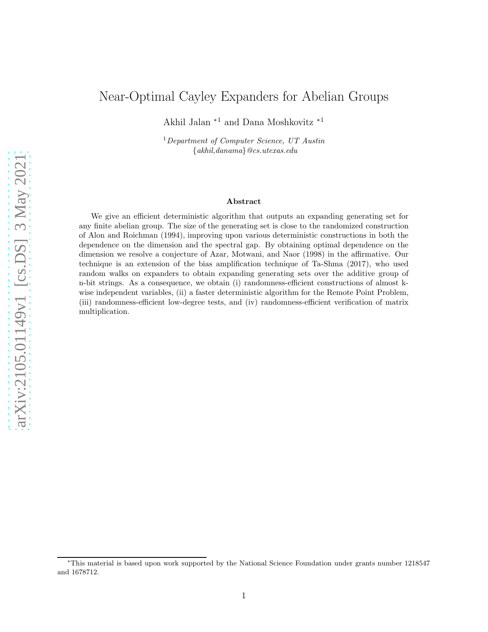# Near-Optimal Cayley Expanders for Abelian Groups

Akhil Jalan $^{\ast1}$  and Dana Moshkovitz  $^{\ast1}$ 

<sup>1</sup>Department of Computer Science, UT Austin {akhil,danama}@cs.utexas.edu

#### Abstract

We give an efficient deterministic algorithm that outputs an expanding generating set for any finite abelian group. The size of the generating set is close to the randomized construction of Alon and Roichman (1994), improving upon various deterministic constructions in both the dependence on the dimension and the spectral gap. By obtaining optimal dependence on the dimension we resolve a conjecture of Azar, Motwani, and Naor (1998) in the affirmative. Our technique is an extension of the bias amplification technique of Ta-Shma (2017), who used random walks on expanders to obtain expanding generating sets over the additive group of n-bit strings. As a consequence, we obtain (i) randomness-efficient constructions of almost kwise independent variables, (ii) a faster deterministic algorithm for the Remote Point Problem, (iii) randomness-efficient low-degree tests, and (iv) randomness-efficient verification of matrix multiplication.

<sup>∗</sup>This material is based upon work supported by the National Science Foundation under grants number 1218547 and 1678712.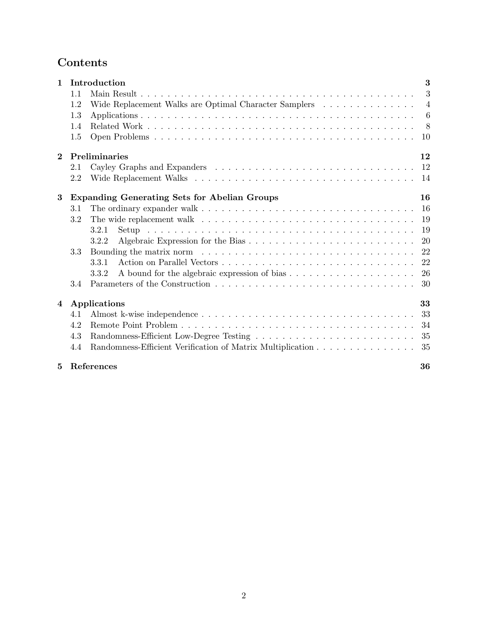# Contents

| $\mathbf{1}$ | 3<br>Introduction                                   |                                                                                                           |                |
|--------------|-----------------------------------------------------|-----------------------------------------------------------------------------------------------------------|----------------|
|              | 1.1                                                 |                                                                                                           | 3              |
|              | 1.2                                                 | Wide Replacement Walks are Optimal Character Samplers                                                     | $\overline{4}$ |
|              | 1.3                                                 |                                                                                                           | 6              |
|              | 1.4                                                 |                                                                                                           | 8              |
|              | 1.5                                                 |                                                                                                           | 10             |
| $\bf{2}$     | Preliminaries<br>12                                 |                                                                                                           |                |
|              | 2.1                                                 |                                                                                                           | 12             |
|              | 2.2                                                 |                                                                                                           | -14            |
| 3            | <b>Expanding Generating Sets for Abelian Groups</b> |                                                                                                           | 16             |
|              | 3.1                                                 | The ordinary expander walk $\ldots \ldots \ldots \ldots \ldots \ldots \ldots \ldots \ldots \ldots \ldots$ | 16             |
|              | 3.2                                                 |                                                                                                           | 19             |
|              |                                                     | 3.2.1                                                                                                     | 19             |
|              |                                                     | 3.2.2                                                                                                     | <b>20</b>      |
|              | 3.3                                                 |                                                                                                           | 22             |
|              |                                                     | 3.3.1                                                                                                     | 22             |
|              |                                                     | 3.3.2                                                                                                     | 26             |
|              | 3.4                                                 |                                                                                                           | 30             |
| 4            | Applications                                        |                                                                                                           | 33             |
|              | 4.1                                                 |                                                                                                           | 33             |
|              | 4.2                                                 |                                                                                                           | 34             |
|              | 4.3                                                 |                                                                                                           | 35             |
|              | 4.4                                                 | Randomness-Efficient Verification of Matrix Multiplication                                                | 35             |
| 5            |                                                     | References                                                                                                | 36             |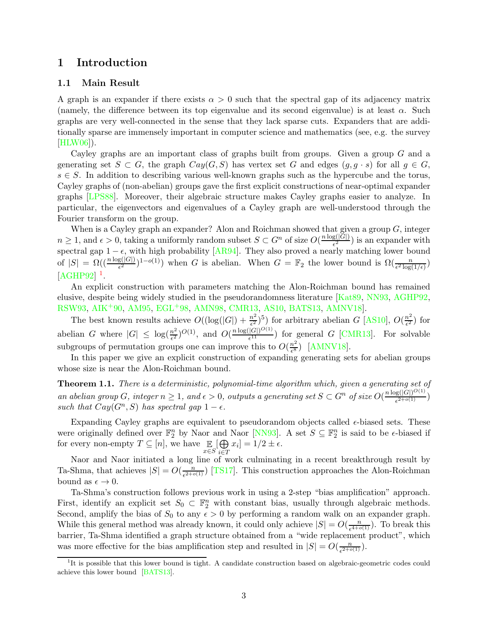# <span id="page-2-1"></span><span id="page-2-0"></span>1 Introduction

# 1.1 Main Result

A graph is an expander if there exists  $\alpha > 0$  such that the spectral gap of its adjacency matrix (namely, the difference between its top eigenvalue and its second eigenvalue) is at least  $\alpha$ . Such graphs are very well-connected in the sense that they lack sparse cuts. Expanders that are additionally sparse are immensely important in computer science and mathematics (see, e.g. the survey [\[HLW06\]](#page-37-0)).

Cayley graphs are an important class of graphs built from groups. Given a group  $G$  and a generating set  $S \subset G$ , the graph  $Cay(G, S)$  has vertex set G and edges  $(g, g \cdot s)$  for all  $g \in G$ ,  $s \in S$ . In addition to describing various well-known graphs such as the hypercube and the torus, Cayley graphs of (non-abelian) groups gave the first explicit constructions of near-optimal expander graphs [\[LPS88\]](#page-37-1). Moreover, their algebraic structure makes Cayley graphs easier to analyze. In particular, the eigenvectors and eigenvalues of a Cayley graph are well-understood through the Fourier transform on the group.

When is a Cayley graph an expander? Alon and Roichman showed that given a group  $G$ , integer  $n \geq 1$ , and  $\epsilon > 0$ , taking a uniformly random subset  $S \subset G^n$  of size  $O(\frac{n \log(|G|)}{\epsilon^2})$  is an expander with spectral gap  $1 - \epsilon$ , with high probability [\[AR94\]](#page-35-1). They also proved a nearly matching lower bound of  $|S| = \Omega((\frac{n \log(|G|)}{\epsilon^2})^{1-o(1)})$  when G is abelian. When  $G = \mathbb{F}_2$  the lower bound is  $\Omega(\frac{n}{\epsilon^2 \log(1/\epsilon)})$ [\[AGHP92\]](#page-35-2)<sup>[1](#page-2-2)</sup>.

An explicit construction with parameters matching the Alon-Roichman bound has remained elusive, despite being widely studied in the pseudorandomness literature [\[Kat89,](#page-37-2) [NN93,](#page-37-3) [AGHP92,](#page-35-2) [RSW93,](#page-37-4) [AIK](#page-35-3)+90, [AM95,](#page-35-4) [EGL](#page-36-0)+98, [AMN98,](#page-35-5) [CMR13,](#page-36-1) [AS10,](#page-35-6) [BATS13,](#page-36-2) [AMNV18\]](#page-35-7).

The best known results achieve  $O((\log(|G|) + \frac{n^2}{\epsilon^2}))$  $\frac{(n^2)}{\epsilon^2}$ )<sup>5</sup>) for arbitrary abelian G [\[AS10\]](#page-35-6),  $O(\frac{n^2}{\epsilon^2})$  $\frac{n^2}{\epsilon^2}$ ) for abelian G where  $|G| \leq \log(\frac{n^2}{\epsilon^2})$  $\frac{(n^2)}{\epsilon^2}$ ) $O(1)$ , and  $O(\frac{n \log(|G|)^{O(1)}}{\epsilon^{11}})$  for general G [\[CMR13\]](#page-36-1). For solvable subgroups of permutation groups one can improve this to  $O(\frac{n^2}{\epsilon^8})$  $\frac{n^2}{\epsilon^8}$ ) [\[AMNV18\]](#page-35-7).

In this paper we give an explicit construction of expanding generating sets for abelian groups whose size is near the Alon-Roichman bound.

Theorem 1.1. There is a deterministic, polynomial-time algorithm which, given a generating set of an abelian group G, integer  $n \geq 1$ , and  $\epsilon > 0$ , outputs a generating set  $S \subset G^n$  of size  $O(\frac{n \log(|G|)^{O(1)}}{\epsilon^{2+o(1)}})$ such that  $Cay(G^n, S)$  has spectral gap  $1 - \epsilon$ .

Expanding Cayley graphs are equivalent to pseudorandom objects called  $\epsilon$ -biased sets. These were originally defined over  $\mathbb{F}_2^n$  by Naor and Naor [\[NN93\]](#page-37-3). A set  $S \subseteq \mathbb{F}_2^n$  is said to be  $\epsilon$ -biased if for every non-empty  $T \subseteq [n]$ , we have  $\mathbb{E}_{x \in S}$  $\Box$  $[x_i] = 1/2 \pm \epsilon.$ 

i∈T Naor and Naor initiated a long line of work culminating in a recent breakthrough result by Ta-Shma, that achieves  $|S| = O(\frac{n}{e^{2+\sigma}})$  $\frac{n}{e^{2+o(1)}}$ ) [\[TS17\]](#page-37-5). This construction approaches the Alon-Roichman bound as  $\epsilon \to 0$ .

Ta-Shma's construction follows previous work in using a 2-step "bias amplification" approach. First, identify an explicit set  $S_0 \subset \mathbb{F}_2^n$  with constant bias, usually through algebraic methods. Second, amplify the bias of  $S_0$  to any  $\epsilon > 0$  by performing a random walk on an expander graph. While this general method was already known, it could only achieve  $|S| = O(\frac{n}{\epsilon^{4+\sigma}})$  $\frac{n}{e^{4+o(1)}}$ ). To break this barrier, Ta-Shma identified a graph structure obtained from a "wide replacement product", which was more effective for the bias amplification step and resulted in  $|S| = O(\frac{n}{\epsilon^{2+\sigma}})$  $\frac{n}{\epsilon^{2+o(1)}}).$ 

<span id="page-2-2"></span><sup>&</sup>lt;sup>1</sup>It is possible that this lower bound is tight. A candidate construction based on algebraic-geometric codes could achieve this lower bound [\[BATS13\]](#page-36-2).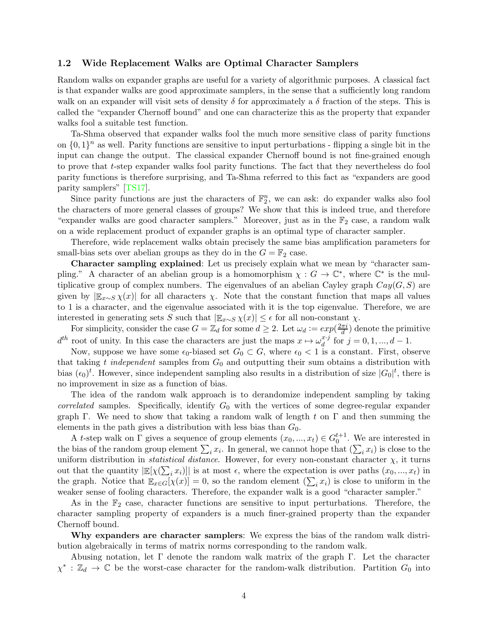# <span id="page-3-0"></span>1.2 Wide Replacement Walks are Optimal Character Samplers

Random walks on expander graphs are useful for a variety of algorithmic purposes. A classical fact is that expander walks are good approximate samplers, in the sense that a sufficiently long random walk on an expander will visit sets of density  $\delta$  for approximately a  $\delta$  fraction of the steps. This is called the "expander Chernoff bound" and one can characterize this as the property that expander walks fool a suitable test function.

Ta-Shma observed that expander walks fool the much more sensitive class of parity functions on  $\{0,1\}^n$  as well. Parity functions are sensitive to input perturbations - flipping a single bit in the input can change the output. The classical expander Chernoff bound is not fine-grained enough to prove that t-step expander walks fool parity functions. The fact that they nevertheless do fool parity functions is therefore surprising, and Ta-Shma referred to this fact as "expanders are good parity samplers" [\[TS17\]](#page-37-5).

Since parity functions are just the characters of  $\mathbb{F}_2^n$ , we can ask: do expander walks also fool the characters of more general classes of groups? We show that this is indeed true, and therefore "expander walks are good character samplers." Moreover, just as in the  $\mathbb{F}_2$  case, a random walk on a wide replacement product of expander graphs is an optimal type of character sampler.

Therefore, wide replacement walks obtain precisely the same bias amplification parameters for small-bias sets over abelian groups as they do in the  $G = \mathbb{F}_2$  case.

Character sampling explained: Let us precisely explain what we mean by "character sampling." A character of an abelian group is a homomorphism  $\chi : G \to \mathbb{C}^*$ , where  $\mathbb{C}^*$  is the multiplicative group of complex numbers. The eigenvalues of an abelian Cayley graph  $Cay(G, S)$  are given by  $\mathbb{E}_{x\sim S} \chi(x)$  for all characters  $\chi$ . Note that the constant function that maps all values to 1 is a character, and the eigenvalue associated with it is the top eigenvalue. Therefore, we are interested in generating sets S such that  $|\mathbb{E}_{x \sim S} \chi(x)| \leq \epsilon$  for all non-constant  $\chi$ .

For simplicity, consider the case  $G = \mathbb{Z}_d$  for some  $d \geq 2$ . Let  $\omega_d := exp(\frac{2\pi i}{d})$  $\frac{\pi i}{d}$ ) denote the primitive  $d^{th}$  root of unity. In this case the characters are just the maps  $x \mapsto \omega_d^{x \cdot j}$  for  $j = 0, 1, ..., d - 1$ .

Now, suppose we have some  $\epsilon_0$ -biased set  $G_0 \subset G$ , where  $\epsilon_0 < 1$  is a constant. First, observe that taking t independent samples from  $G_0$  and outputting their sum obtains a distribution with bias  $(\epsilon_0)^t$ . However, since independent sampling also results in a distribution of size  $|G_0|^t$ , there is no improvement in size as a function of bias.

The idea of the random walk approach is to derandomize independent sampling by taking correlated samples. Specifically, identify  $G_0$  with the vertices of some degree-regular expander graph Γ. We need to show that taking a random walk of length t on  $\Gamma$  and then summing the elements in the path gives a distribution with less bias than  $G_0$ .

A t-step walk on  $\Gamma$  gives a sequence of group elements  $(x_0, ..., x_t) \in G_0^{t+1}$ . We are interested in the bias of the random group element  $\sum_i x_i$ . In general, we cannot hope that  $(\sum_i x_i)$  is close to the uniform distribution in *statistical distance*. However, for every non-constant character  $\chi$ , it turns out that the quantity  $\mathbb{E}[\chi(\sum_i x_i)]$  is at most  $\epsilon$ , where the expectation is over paths  $(x_0, ..., x_t)$  in the graph. Notice that  $\mathbb{E}_{x \in G}[\chi(x)] = 0$ , so the random element  $(\sum_i x_i)$  is close to uniform in the weaker sense of fooling characters. Therefore, the expander walk is a good "character sampler."

As in the  $\mathbb{F}_2$  case, character functions are sensitive to input perturbations. Therefore, the character sampling property of expanders is a much finer-grained property than the expander Chernoff bound.

Why expanders are character samplers: We express the bias of the random walk distribution algebraically in terms of matrix norms corresponding to the random walk.

Abusing notation, let  $\Gamma$  denote the random walk matrix of the graph  $\Gamma$ . Let the character  $\chi^*: \mathbb{Z}_d \to \mathbb{C}$  be the worst-case character for the random-walk distribution. Partition  $G_0$  into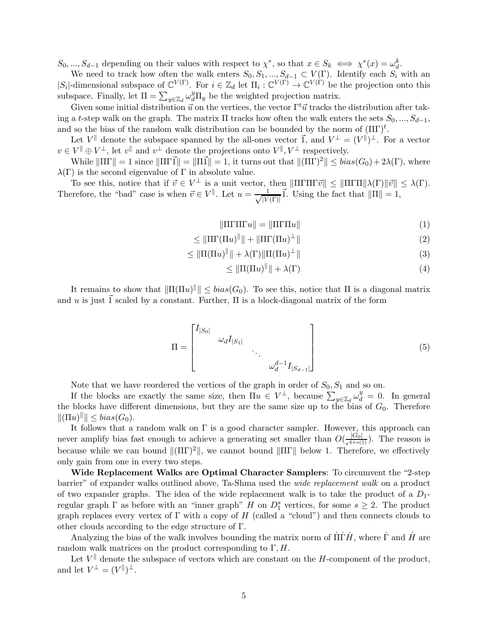$S_0, ..., S_{d-1}$  depending on their values with respect to  $\chi^*$ , so that  $x \in S_k \iff \chi^*(x) = \omega_d^k$ .

We need to track how often the walk enters  $S_0, S_1, ..., S_{d-1} \subset V(\Gamma)$ . Identify each  $S_i$  with an  $|S_i|$ -dimensional subspace of  $\mathbb{C}^{V(\Gamma)}$ . For  $i \in \mathbb{Z}_d$  let  $\Pi_i : \mathbb{C}^{V(\Gamma)} \to \mathbb{C}^{V(\Gamma)}$  be the projection onto this subspace. Finally, let  $\Pi = \sum_{y \in \mathbb{Z}_d} \omega_d^y \Pi_y$  be the weighted projection matrix.

Given some initial distribution  $\vec{u}$  on the vertices, the vector  $\Gamma^t \vec{u}$  tracks the distribution after taking a t-step walk on the graph. The matrix  $\Pi$  tracks how often the walk enters the sets  $S_0, ..., S_{d-1}$ , and so the bias of the random walk distribution can be bounded by the norm of  $(\Pi\Gamma)^t$ .

Let  $V^{\parallel}$  denote the subspace spanned by the all-ones vector  $\vec{1}$ , and  $V^{\perp} = (V^{\parallel})^{\perp}$ . For a vector  $v \in V^{\parallel} \oplus V^{\perp}$ , let  $v^{\parallel}$  and  $v^{\perp}$  denote the projections onto  $V^{\parallel}, V^{\perp}$  respectively.

While  $\|\Pi\Gamma\| = 1$  since  $\|\Pi\Gamma\vec{1}\| = \|\Pi\vec{1}\| = 1$ , it turns out that  $\|(\Pi\Gamma)^2\| \leq bias(G_0) + 2\lambda(\Gamma)$ , where  $\lambda(\Gamma)$  is the second eigenvalue of  $\Gamma$  in absolute value.

To see this, notice that if  $\vec{v} \in V^{\perp}$  is a unit vector, then  $\|\Pi\Gamma\Pi\Gamma\vec{v}\| \leq \|\Pi\Gamma\Pi\|\lambda(\Gamma)\|\vec{v}\| \leq \lambda(\Gamma)$ . Therefore, the "bad" case is when  $\vec{v} \in V^{\parallel}$ . Let  $u = \frac{1}{\sqrt{|V|}}$  $\frac{1}{|V(\Gamma)|} \vec{1}$ . Using the fact that  $||\Pi|| = 1$ ,

$$
\|\Pi\Gamma\Pi\Gamma u\| = \|\Pi\Gamma\Pi u\| \tag{1}
$$

$$
\leq \|\Pi\Gamma(\Pi u)^{\parallel}\| + \|\Pi\Gamma(\Pi u)^{\perp}\| \tag{2}
$$

$$
\leq \|\Pi(\Pi u)^{\parallel}\| + \lambda(\Gamma)\|\Pi(\Pi u)^{\perp}\| \tag{3}
$$

$$
\leq \|\Pi(\Pi u)^{\parallel}\| + \lambda(\Gamma) \tag{4}
$$

It remains to show that  $\|\Pi(\Pi u)\| \leq bias(G_0)$ . To see this, notice that  $\Pi$  is a diagonal matrix and u is just  $\vec{1}$  scaled by a constant. Further,  $\Pi$  is a block-diagonal matrix of the form

$$
\Pi = \begin{bmatrix} I_{|S_0|} & & & & \\ & \omega_d I_{|S_1|} & & \\ & & \ddots & \\ & & & \omega_d^{d-1} I_{|S_{d-1}|} \end{bmatrix}
$$
 (5)

Note that we have reordered the vertices of the graph in order of  $S_0$ ,  $S_1$  and so on.

If the blocks are exactly the same size, then  $\Pi u \in V^{\perp}$ , because  $\sum_{y \in \mathbb{Z}_d} \omega_d^y = 0$ . In general the blocks have different dimensions, but they are the same size up to the bias of  $G_0$ . Therefore  $\|(\Pi u)\| \leq bias(G_0).$ 

It follows that a random walk on  $\Gamma$  is a good character sampler. However, this approach can never amplify bias fast enough to achieve a generating set smaller than  $O(\frac{|G_0|}{\epsilon^{4+o(1)}})$ . The reason is because while we can bound  $\|(\Pi\Gamma)^2\|$ , we cannot bound  $\|\Pi\Gamma\|$  below 1. Therefore, we effectively only gain from one in every two steps.

Wide Replacement Walks are Optimal Character Samplers: To circumvent the "2-step barrier" of expander walks outlined above, Ta-Shma used the wide replacement walk on a product of two expander graphs. The idea of the wide replacement walk is to take the product of a  $D_1$ regular graph  $\Gamma$  as before with an "inner graph" H on  $D_1^s$  vertices, for some  $s \geq 2$ . The product graph replaces every vertex of  $\Gamma$  with a copy of H (called a "cloud") and then connects clouds to other clouds according to the edge structure of Γ.

Analyzing the bias of the walk involves bounding the matrix norm of  $\dot{\Pi}\dot{\Pi}\dot{H}$ , where  $\dot{\Gamma}$  and  $\dot{H}$  are random walk matrices on the product corresponding to  $\Gamma, H$ .

Let  $V^{\parallel}$  denote the subspace of vectors which are constant on the H-component of the product, and let  $V^{\perp} = (V^{\parallel})^{\perp}$ .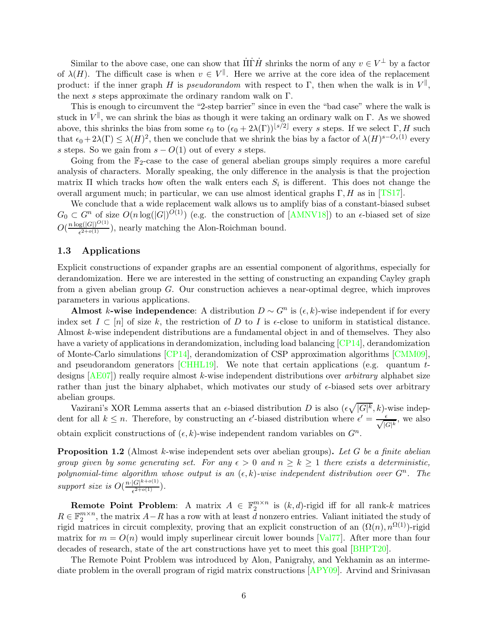Similar to the above case, one can show that  $\overrightarrow{II} \cdot \overrightarrow{H}$  shrinks the norm of any  $v \in V^{\perp}$  by a factor of  $\lambda(H)$ . The difficult case is when  $v \in V^{\parallel}$ . Here we arrive at the core idea of the replacement product: if the inner graph H is *pseudorandom* with respect to  $\Gamma$ , then when the walk is in  $V^{\parallel}$ , the next s steps approximate the ordinary random walk on  $\Gamma$ .

This is enough to circumvent the "2-step barrier" since in even the "bad case" where the walk is stuck in  $V^{\parallel}$ , we can shrink the bias as though it were taking an ordinary walk on  $\Gamma$ . As we showed above, this shrinks the bias from some  $\epsilon_0$  to  $(\epsilon_0 + 2\lambda(\Gamma))^{[s/2]}$  every s steps. If we select  $\Gamma, H$  such that  $\epsilon_0 + 2\lambda(\Gamma) \leq \lambda(H)^2$ , then we conclude that we shrink the bias by a factor of  $\lambda(H)^{s-O_s(1)}$  every s steps. So we gain from  $s - O(1)$  out of every s steps.

Going from the  $\mathbb{F}_2$ -case to the case of general abelian groups simply requires a more careful analysis of characters. Morally speaking, the only difference in the analysis is that the projection matrix  $\Pi$  which tracks how often the walk enters each  $S_i$  is different. This does not change the overall argument much; in particular, we can use almost identical graphs  $\Gamma, H$  as in [\[TS17\]](#page-37-5).

We conclude that a wide replacement walk allows us to amplify bias of a constant-biased subset  $G_0 \subset G^n$  of size  $O(n \log(|G|)^{O(1)})$  (e.g. the construction of [\[AMNV18\]](#page-35-7)) to an  $\epsilon$ -biased set of size  $O(\frac{n \log(|G|)^{O(1)}}{\epsilon^{2+o(1)}})$  $\frac{g(|G|)^{-(\gamma)}}{e^{2+o(1)}}$ , nearly matching the Alon-Roichman bound.

## <span id="page-5-0"></span>1.3 Applications

Explicit constructions of expander graphs are an essential component of algorithms, especially for derandomization. Here we are interested in the setting of constructing an expanding Cayley graph from a given abelian group G. Our construction achieves a near-optimal degree, which improves parameters in various applications.

Almost k-wise independence: A distribution  $D \sim G^n$  is  $(\epsilon, k)$ -wise independent if for every index set  $I \subset [n]$  of size k, the restriction of D to I is  $\epsilon$ -close to uniform in statistical distance. Almost k-wise independent distributions are a fundamental object in and of themselves. They also have a variety of applications in derandomization, including load balancing [\[CP14\]](#page-36-3), derandomization of Monte-Carlo simulations [\[CP14\]](#page-36-3), derandomization of CSP approximation algorithms [\[CMM09\]](#page-36-4), and pseudorandom generators  $[CHHL19]$ . We note that certain applications (e.g. quantum tdesigns  $[AE07]$ ) really require almost k-wise independent distributions over *arbitrary* alphabet size rather than just the binary alphabet, which motivates our study of  $\epsilon$ -biased sets over arbitrary abelian groups.

Vazirani's XOR Lemma asserts that an  $\epsilon$ -biased distribution D is also  $(\epsilon \sqrt{|G|^k}, k)$ -wise indepdent for all  $k \leq n$ . Therefore, by constructing an  $\epsilon'$ -biased distribution where  $\epsilon' = \frac{\epsilon}{\sqrt{|G|^k}}$ , we also obtain explicit constructions of  $(\epsilon, k)$ -wise independent random variables on  $G<sup>n</sup>$ .

**Proposition 1.2** (Almost k-wise independent sets over abelian groups). Let G be a finite abelian group given by some generating set. For any  $\epsilon > 0$  and  $n \geq k \geq 1$  there exists a deterministic, polynomial-time algorithm whose output is an  $(\epsilon, k)$ -wise independent distribution over  $G^n$ . The support size is  $O(\frac{n |G|^{k+o(1)}}{c^{2+o(1)}})$  $rac{|G|^{n+2(1)}}{\epsilon^{2+o(1)}}$ .

**Remote Point Problem:** A matrix  $A \in \mathbb{F}_2^{m \times n}$  is  $(k, d)$ -rigid iff for all rank-k matrices  $R \in \mathbb{F}_2^{m \times n}$ , the matrix  $A-R$  has a row with at least d nonzero entries. Valiant initiated the study of rigid matrices in circuit complexity, proving that an explicit construction of an  $(\Omega(n), n^{\Omega(1)})$ -rigid matrix for  $m = O(n)$  would imply superlinear circuit lower bounds [\[Val77\]](#page-37-6). After more than four decades of research, state of the art constructions have yet to meet this goal [\[BHPT20\]](#page-36-6).

The Remote Point Problem was introduced by Alon, Panigrahy, and Yekhamin as an intermediate problem in the overall program of rigid matrix constructions [\[APY09\]](#page-35-9). Arvind and Srinivasan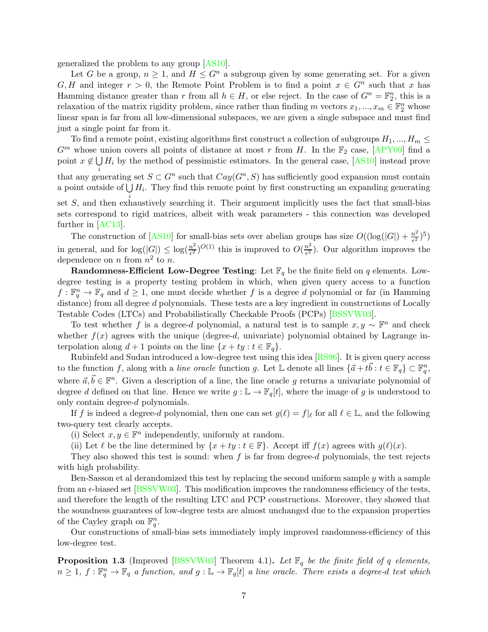generalized the problem to any group [\[AS10\]](#page-35-6).

Let G be a group,  $n \geq 1$ , and  $H \leq G<sup>n</sup>$  a subgroup given by some generating set. For a given  $G, H$  and integer  $r > 0$ , the Remote Point Problem is to find a point  $x \in G^n$  such that x has Hamming distance greater than r from all  $h \in H$ , or else reject. In the case of  $G^n = \mathbb{F}_2^n$ , this is a relaxation of the matrix rigidity problem, since rather than finding m vectors  $x_1, ..., x_m \in \mathbb{F}_2^n$  whose linear span is far from all low-dimensional subspaces, we are given a single subspace and must find just a single point far from it.

To find a remote point, existing algorithms first construct a collection of subgroups  $H_1, ..., H_m \leq$  $G<sup>m</sup>$  whose union covers all points of distance at most r from H. In the  $\mathbb{F}_2$  case,  $[APY09]$  find a point  $x \notin \bigcup H_i$  by the method of pessimistic estimators. In the general case, [\[AS10\]](#page-35-6) instead prove that any generating set  $S \subset G^n$  such that  $Cay(G^n, S)$  has sufficiently good expansion must contain a point outside of  $\bigcup H_i$ . They find this remote point by first constructing an expanding generating set  $S$ , and then exhaustively searching it. Their argument implicitly uses the fact that small-bias sets correspond to rigid matrices, albeit with weak parameters - this connection was developed further in [\[AC13\]](#page-35-10).

The construction of [\[AS10\]](#page-35-6) for small-bias sets over abelian groups has size  $O((\log(|G|) + \frac{n^2}{\epsilon^2}))$  $\frac{n^2}{\epsilon^2})^5$ ) in general, and for  $\log(|G|) \leq \log(\frac{n^2}{\epsilon^2})$  $\frac{(n^2)}{\epsilon^2}$ )<sup>O(1)</sup> this is improved to  $O(\frac{n^2}{\epsilon^2})$  $\frac{n^2}{\epsilon^2}$ ). Our algorithm improves the dependence on  $n \text{ from } n^2$  to  $n$ .

**Randomness-Efficient Low-Degree Testing:** Let  $\mathbb{F}_q$  be the finite field on q elements. Lowdegree testing is a property testing problem in which, when given query access to a function  $f: \mathbb{F}_q^n \to \mathbb{F}_q$  and  $d \geq 1$ , one must decide whether f is a degree d polynomial or far (in Hamming distance) from all degree d polynomials. These tests are a key ingredient in constructions of Locally Testable Codes (LTCs) and Probabilistically Checkable Proofs (PCPs) [\[BSSVW03\]](#page-36-7).

To test whether f is a degree-d polynomial, a natural test is to sample  $x, y \sim \mathbb{F}^n$  and check whether  $f(x)$  agrees with the unique (degree-d, univariate) polynomial obtained by Lagrange interpolation along  $d+1$  points on the line  $\{x+ty : t \in \mathbb{F}_q\}.$ 

Rubinfeld and Sudan introduced a low-degree test using this idea [\[RS96\]](#page-37-7). It is given query access to the function f, along with a *line oracle* function g. Let  $\mathbb{L}$  denote all lines  $\{\vec{a} + t\vec{b} : t \in \mathbb{F}_q\} \subset \mathbb{F}_q^n$ , where  $\vec{a}, \vec{b} \in \mathbb{F}^n$ . Given a description of a line, the line oracle g returns a univariate polynomial of degree d defined on that line. Hence we write  $g: \mathbb{L} \to \mathbb{F}_q[t]$ , where the image of g is understood to only contain degree-d polynomials.

If f is indeed a degree-d polynomial, then one can set  $g(\ell) = f|_{\ell}$  for all  $\ell \in \mathbb{L}$ , and the following two-query test clearly accepts.

(i) Select  $x, y \in \mathbb{F}^n$  independently, uniformly at random.

(ii) Let  $\ell$  be the line determined by  $\{x + ty : t \in \mathbb{F}\}\)$ . Accept iff  $f(x)$  agrees with  $g(\ell)(x)$ .

They also showed this test is sound: when  $f$  is far from degree- $d$  polynomials, the test rejects with high probability.

Ben-Sasson et al derandomized this test by replacing the second uniform sample  $y$  with a sample from an  $\epsilon$ -biased set [\[BSSVW03\]](#page-36-7). This modification improves the randomness efficiency of the tests, and therefore the length of the resulting LTC and PCP constructions. Moreover, they showed that the soundness guarantees of low-degree tests are almost unchanged due to the expansion properties of the Cayley graph on  $\mathbb{F}_q^n$ .

Our constructions of small-bias sets immediately imply improved randomness-efficiency of this low-degree test.

**Proposition 1.3** (Improved [\[BSSVW03\]](#page-36-7) Theorem 4.1). Let  $\mathbb{F}_q$  be the finite field of q elements,  $n \geq 1$ ,  $f : \mathbb{F}_q^n \to \mathbb{F}_q$  a function, and  $g : \mathbb{L} \to \mathbb{F}_q[t]$  a line oracle. There exists a degree-d test which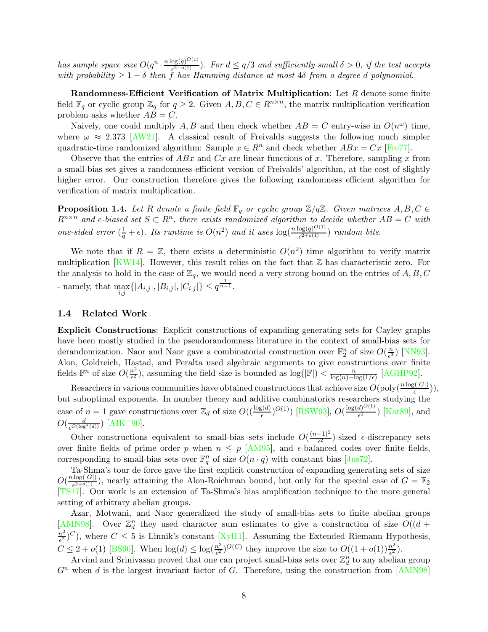has sample space size  $O(q^n\cdot \frac{n\log(q)^{O(1)}}{\epsilon^{2+o(1)}})$  $\frac{\log(q)^{1-\epsilon}}{\epsilon^{2+o(1)}}$ . For  $d \leq q/3$  and sufficiently small  $\delta > 0$ , if the test accepts with probability  $\geq 1 - \delta$  then f has Hamming distance at most 4 $\delta$  from a degree d polynomial.

Randomness-Efficient Verification of Matrix Multiplication: Let  $R$  denote some finite field  $\mathbb{F}_q$  or cyclic group  $\mathbb{Z}_q$  for  $q \geq 2$ . Given  $A, B, C \in R^{n \times n}$ , the matrix multiplication verification problem asks whether  $AB = C$ .

Naively, one could multiply A, B and then check whether  $AB = C$  entry-wise in  $O(n^{\omega})$  time, where  $\omega \approx 2.373$  [\[AW21\]](#page-35-11). A classical result of Freivalds suggests the following much simpler quadratic-time randomized algorithm: Sample  $x \in \mathbb{R}^n$  and check whether  $ABx = Cx$  [\[Fre77\]](#page-36-8).

Observe that the entries of  $ABx$  and  $Cx$  are linear functions of x. Therefore, sampling x from a small-bias set gives a randomness-efficient version of Freivalds' algorithm, at the cost of slightly higher error. Our construction therefore gives the following randomness efficient algorithm for verification of matrix multiplication.

**Proposition 1.4.** Let R denote a finite field  $\mathbb{F}_q$  or cyclic group  $\mathbb{Z}/q\mathbb{Z}$ . Given matrices  $A, B, C \in$  $R^{n \times n}$  and  $\epsilon$ -biased set  $S \subset R^n$ , there exists randomized algorithm to decide whether  $AB = C$  with one-sided error  $(\frac{1}{q} + \epsilon)$ . Its runtime is  $O(n^2)$  and it uses  $\log(\frac{n \log(q)^{O(1)}}{\epsilon^{2+o(1)}})$  $\frac{\log(q)^{-(1)}}{\epsilon^{2+o(1)}}$  random bits.

We note that if  $R = \mathbb{Z}$ , there exists a deterministic  $O(n^2)$  time algorithm to verify matrix multiplication [\[KW14\]](#page-37-8). However, this result relies on the fact that  $\mathbb Z$  has characteristic zero. For the analysis to hold in the case of  $\mathbb{Z}_q$ , we would need a very strong bound on the entries of  $A, B, C$ - namely, that  $\max_{i,j} \{|A_{i,j}|, |B_{i,j}|, |C_{i,j}|\} \leq q^{\frac{1}{n-1}}.$ 

#### <span id="page-7-0"></span>1.4 Related Work

Explicit Constructions: Explicit constructions of expanding generating sets for Cayley graphs have been mostly studied in the pseudorandomness literature in the context of small-bias sets for derandomization. Naor and Naor gave a combinatorial construction over  $\mathbb{F}_2^n$  of size  $O(\frac{n}{\epsilon^3})$  [\[NN93\]](#page-37-3). Alon, Goldreich, Hastad, and Peralta used algebraic arguments to give constructions over finite fields  $\mathbb{F}^n$  of size  $O(\frac{n^2}{\epsilon^2})$  $\frac{n^2}{\epsilon^2}$ ), assuming the field size is bounded as  $\log(|\mathbb{F}|) < \frac{n}{\log(n)+1}$  $\frac{n}{\log(n)+\log(1/\epsilon)}$  [\[AGHP92\]](#page-35-2).

Resarchers in various communities have obtained constructions that achieve size  $O(\text{poly}(\frac{n \log(|G|)}{\epsilon})),$ but suboptimal exponents. In number theory and additive combinatorics researchers studying the case of  $n=1$  gave constructions over  $\mathbb{Z}_d$  of size  $O((\frac{\log(d)}{\epsilon})^{O(1)})$  [\[RSW93\]](#page-37-4),  $O(\frac{\log(d)^{O(1)}}{\epsilon^2})$  $\frac{a_1}{\epsilon^2}$  [\[Kat89\]](#page-37-2), and  $O(\frac{d}{\epsilon^{O(\log^*(d))}})$  [\[AIK](#page-35-3)<sup>+</sup>90].

Other constructions equivalent to small-bias sets include  $O(\frac{(n-1)^2}{\epsilon^2})$ -sized  $\epsilon$ -discrepancy sets over finite fields of prime order p when  $n \leq p$  [\[AM95\]](#page-35-4), and  $\epsilon$ -balanced codes over finite fields, corresponding to small-bias sets over  $\mathbb{F}_q^n$  of size  $O(n \cdot q)$  with constant bias [\[Jus72\]](#page-37-9).

Ta-Shma's tour de force gave the first explicit construction of expanding generating sets of size  $O(\frac{n \log(|G|)}{\epsilon^{2+o(1)}})$ , nearly attaining the Alon-Roichman bound, but only for the special case of  $G = \mathbb{F}_2$ [\[TS17\]](#page-37-5). Our work is an extension of Ta-Shma's bias amplification technique to the more general setting of arbitrary abelian groups.

Azar, Motwani, and Naor generalized the study of small-bias sets to finite abelian groups [\[AMN98\]](#page-35-5). Over  $\mathbb{Z}_d^n$  they used character sum estimates to give a construction of size  $O((d +$  $n^2$  $\frac{n^2}{\epsilon^2}$  C), where  $C \le 5$  is Linnik's constant [\[Xyl11\]](#page-37-10). Assuming the Extended Riemann Hypothesis,  $C \leq 2 + o(1)$  [\[BS96\]](#page-36-9). When  $\log(d) \leq \log(\frac{n^2}{\epsilon^2})$  $\frac{n^2}{\epsilon^2}$ )<sup>*O(C)*</sup> they improve the size to  $O((1+o(1))\frac{n^2}{\epsilon^2})$  $\frac{n^2}{\epsilon^2}$ ).

Arvind and Srinivasan proved that one can project small-bias sets over  $\mathbb{Z}_d^n$  to any abelian group  $G<sup>n</sup>$  when d is the largest invariant factor of G. Therefore, using the construction from [\[AMN98\]](#page-35-5)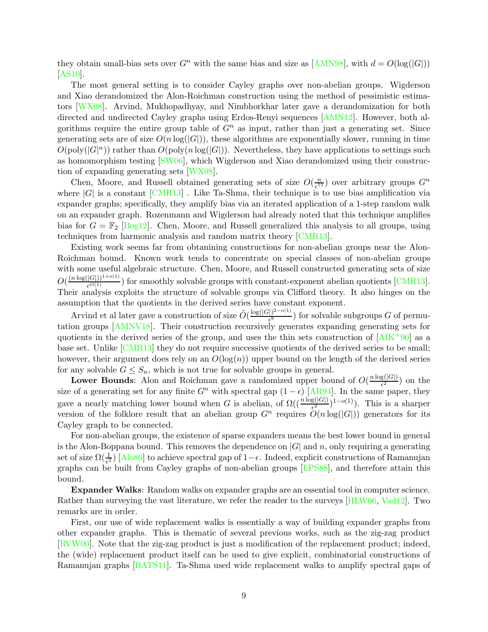they obtain small-bias sets over  $G<sup>n</sup>$  with the same bias and size as [\[AMN98\]](#page-35-5), with  $d = O(\log(|G|))$ [\[AS10\]](#page-35-6).

The most general setting is to consider Cayley graphs over non-abelian groups. Wigderson and Xiao derandomized the Alon-Roichman construction using the method of pessimistic estimators [\[WX08\]](#page-37-11). Arvind, Mukhopadhyay, and Nimbhorkhar later gave a derandomization for both directed and undirected Cayley graphs using Erdos-Renyi sequences [\[AMN12\]](#page-35-12). However, both algorithms require the entire group table of  $G<sup>n</sup>$  as input, rather than just a generating set. Since generating sets are of size  $O(n \log(|G|))$ , these algorithms are exponentially slower, running in time  $O(poly(|G|^n))$  rather than  $O(poly(n log(|G|))$ . Nevertheless, they have applications to settings such as homomorphism testing [\[SW06\]](#page-37-12), which Wigderson and Xiao derandomized using their construction of expanding generating sets [\[WX08\]](#page-37-11).

Chen, Moore, and Russell obtained generating sets of size  $O(\frac{n}{\epsilon^2})$  $\frac{n}{e^{11}}$ ) over arbitrary groups  $G^n$ where  $|G|$  is a constant  $[CMR13]$ . Like Ta-Shma, their technique is to use bias amplification via expander graphs; specifically, they amplify bias via an iterated application of a 1-step random walk on an expander graph. Rozenmann and Wigderson had already noted that this technique amplifies bias for  $G = \mathbb{F}_2$  [\[Bog12\]](#page-36-10). Chen, Moore, and Russell generalized this analysis to all groups, using techniques from harmonic analysis and random matrix theory [\[CMR13\]](#page-36-1).

Existing work seems far from obtanining constructions for non-abelian groups near the Alon-Roichman bound. Known work tends to concentrate on special classes of non-abelian groups with some useful algebraic structure. Chen, Moore, and Russell constructed generating sets of size  $O(\frac{(n \log(|G|))^{1+o(1)}}{\epsilon^{O(1)}})$  for smoothly solvable groups with constant-exponent abelian quotients [\[CMR13\]](#page-36-1). Their analysis exploits the structure of solvable groups via Clifford theory. It also hinges on the assumption that the quotients in the derived series have constant exponent.

Arvind et al later gave a construction of size  $\tilde{O}\left(\frac{\log(|G|)^{2-o(1)}}{\epsilon^8}\right)$  $\frac{f(t)}{\epsilon^8}$  for solvable subgroups G of permutation groups [\[AMNV18\]](#page-35-7). Their construction recursively generates expanding generating sets for quotients in the derived series of the group, and uses the thin sets construction of  $[AlK^+90]$  as a base set. Unlike [\[CMR13\]](#page-36-1) they do not require successive quotients of the derived series to be small; however, their argument does rely on an  $O(\log(n))$  upper bound on the length of the derived series for any solvable  $G \leq S_n$ , which is not true for solvable groups in general.

**Lower Bounds:** Alon and Roichman gave a randomized upper bound of  $O(\frac{n \log(|G|)}{\epsilon^2})$  on the size of a generating set for any finite  $G^n$  with spectral gap  $(1 - \epsilon)$  [\[AR94\]](#page-35-1). In the same paper, they gave a nearly matching lower bound when G is abelian, of  $\Omega((\frac{n \log(|G|)}{\epsilon^2})^{1-o(1)})$ . This is a sharper version of the folklore result that an abelian group  $G<sup>n</sup>$  requires  $O(n \log(|G|))$  generators for its Cayley graph to be connected.

For non-abelian groups, the existence of sparse expanders means the best lower bound in general is the Alon-Boppana bound. This removes the dependence on  $|G|$  and n, only requiring a generating set of size  $\Omega(\frac{1}{\epsilon^2})$  [\[Alo86\]](#page-35-13) to achieve spectral gap of 1– $\epsilon$ . Indeed, explicit constructions of Ramanujan graphs can be built from Cayley graphs of non-abelian groups [\[LPS88\]](#page-37-1), and therefore attain this bound.

Expander Walks: Random walks on expander graphs are an essential tool in computer science. Rather than surveying the vast literature, we refer the reader to the surveys [\[HLW06,](#page-37-0) [Vad12\]](#page-37-13). Two remarks are in order.

First, our use of wide replacement walks is essentially a way of building expander graphs from other expander graphs. This is thematic of several previous works, such as the zig-zag product [\[RVW00\]](#page-37-14). Note that the zig-zag product is just a modification of the replacement product; indeed, the (wide) replacement product itself can be used to give explicit, combinatorial constructions of Ramanujan graphs [\[BATS11\]](#page-36-11). Ta-Shma used wide replacement walks to amplify spectral gaps of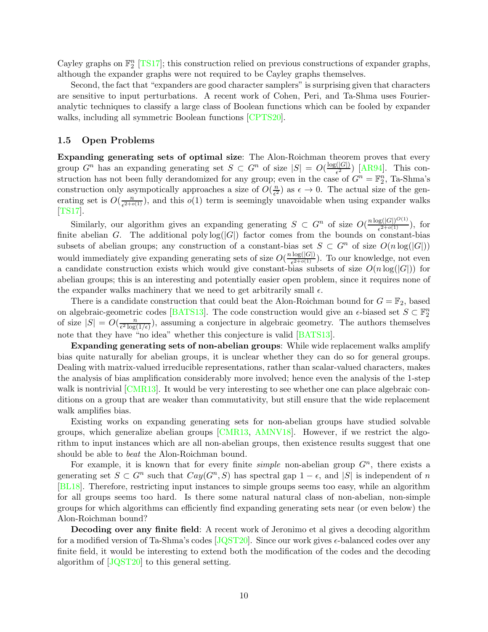Cayley graphs on  $\mathbb{F}_2^n$  [\[TS17\]](#page-37-5); this construction relied on previous constructions of expander graphs, although the expander graphs were not required to be Cayley graphs themselves.

Second, the fact that "expanders are good character samplers" is surprising given that characters are sensitive to input perturbations. A recent work of Cohen, Peri, and Ta-Shma uses Fourieranalytic techniques to classify a large class of Boolean functions which can be fooled by expander walks, including all symmetric Boolean functions  $[{\rm CPTS20}]$ .

# <span id="page-9-0"></span>1.5 Open Problems

Expanding generating sets of optimal size: The Alon-Roichman theorem proves that every group  $G^n$  has an expanding generating set  $S \subset G^n$  of size  $|S| = O(\frac{\log(|G|)}{\epsilon^2})$  [\[AR94\]](#page-35-1). This construction has not been fully derandomized for any group; even in the case of  $G^n = \mathbb{F}_2^n$ , Ta-Shma's construction only asympotically approaches a size of  $O(\frac{n}{c^2})$  $\frac{n}{\epsilon^2}$  as  $\epsilon \to 0$ . The actual size of the generating set is  $O(\frac{n}{e^{2+\alpha}})$  $\frac{n}{e^{2+o(1)}}$ , and this  $o(1)$  term is seemingly unavoidable when using expander walks [\[TS17\]](#page-37-5).

Similarly, our algorithm gives an expanding generating  $S \subset G^n$  of size  $O(\frac{n \log(|G|)^{O(1)}}{\epsilon^{2+o(1)}})$ , for finite abelian G. The additional poly  $log(|G|)$  factor comes from the bounds on constant-bias subsets of abelian groups; any construction of a constant-bias set  $S \subset G^n$  of size  $O(n \log(|G|))$ would immediately give expanding generating sets of size  $O(\frac{n \log(|G|)}{\epsilon^{2+o(1)}})$ . To our knowledge, not even a candidate construction exists which would give constant-bias subsets of size  $O(n \log(|G|))$  for abelian groups; this is an interesting and potentially easier open problem, since it requires none of the expander walks machinery that we need to get arbitrarily small  $\epsilon$ .

There is a candidate construction that could beat the Alon-Roichman bound for  $G = \mathbb{F}_2$ , based on algebraic-geometric codes [\[BATS13\]](#page-36-2). The code construction would give an  $\epsilon$ -biased set  $S \subset \mathbb{F}_2^n$ of size  $|S| = O(\frac{n}{\epsilon^2 \log n})$  $\frac{n}{\epsilon^2 \log(1/\epsilon)}$ , assuming a conjecture in algebraic geometry. The authors themselves note that they have "no idea" whether this conjecture is valid [\[BATS13\]](#page-36-2).

Expanding generating sets of non-abelian groups: While wide replacement walks amplify bias quite naturally for abelian groups, it is unclear whether they can do so for general groups. Dealing with matrix-valued irreducible representations, rather than scalar-valued characters, makes the analysis of bias amplification considerably more involved; hence even the analysis of the 1-step walk is nontrivial [\[CMR13\]](#page-36-1). It would be very interesting to see whether one can place algebraic conditions on a group that are weaker than commutativity, but still ensure that the wide replacement walk amplifies bias.

Existing works on expanding generating sets for non-abelian groups have studied solvable groups, which generalize abelian groups  $\lfloor \text{CMR13}, \text{AMNV18} \rfloor$ . However, if we restrict the algorithm to input instances which are all non-abelian groups, then existence results suggest that one should be able to beat the Alon-Roichman bound.

For example, it is known that for every finite *simple* non-abelian group  $G<sup>n</sup>$ , there exists a generating set  $S \subset G^n$  such that  $Cay(G^n, S)$  has spectral gap  $1 - \epsilon$ , and  $|S|$  is independent of n [\[BL18\]](#page-36-13). Therefore, restricting input instances to simple groups seems too easy, while an algorithm for all groups seems too hard. Is there some natural natural class of non-abelian, non-simple groups for which algorithms can efficiently find expanding generating sets near (or even below) the Alon-Roichman bound?

Decoding over any finite field: A recent work of Jeronimo et al gives a decoding algorithm for a modified version of Ta-Shma's codes  $[J\text{QST20}]$ . Since our work gives  $\epsilon$ -balanced codes over any finite field, it would be interesting to extend both the modification of the codes and the decoding algorithm of [\[JQST20\]](#page-37-15) to this general setting.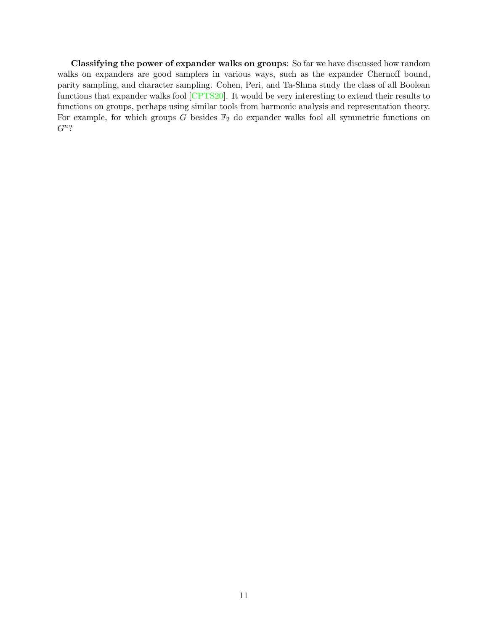Classifying the power of expander walks on groups: So far we have discussed how random walks on expanders are good samplers in various ways, such as the expander Chernoff bound, parity sampling, and character sampling. Cohen, Peri, and Ta-Shma study the class of all Boolean functions that expander walks fool [\[CPTS20\]](#page-36-12). It would be very interesting to extend their results to functions on groups, perhaps using similar tools from harmonic analysis and representation theory. For example, for which groups G besides  $\mathbb{F}_2$  do expander walks fool all symmetric functions on  $G<sup>n</sup>$ ?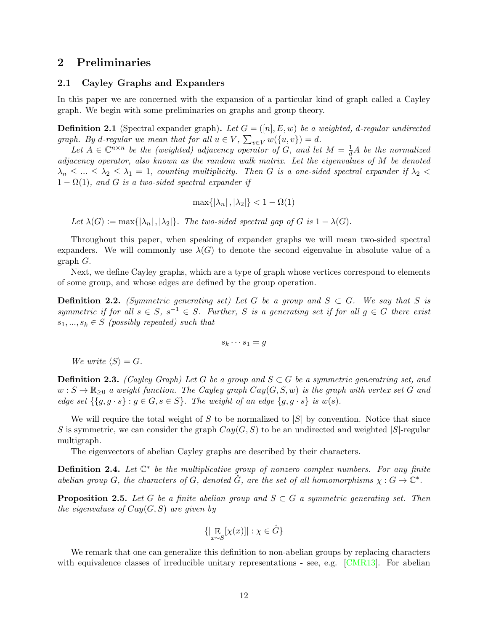# <span id="page-11-1"></span><span id="page-11-0"></span>2 Preliminaries

# 2.1 Cayley Graphs and Expanders

In this paper we are concerned with the expansion of a particular kind of graph called a Cayley graph. We begin with some preliminaries on graphs and group theory.

**Definition 2.1** (Spectral expander graph). Let  $G = ([n], E, w)$  be a weighted, d-regular undirected graph. By d-regular we mean that for all  $u \in V$ ,  $\sum_{v \in V} w(\lbrace u, v \rbrace) = d$ .

Let  $A \in \mathbb{C}^{n \times n}$  be the (weighted) adjacency operator of G, and let  $M = \frac{1}{d}A$  be the normalized adjacency operator, also known as the random walk matrix. Let the eigenvalues of M be denoted  $\lambda_n \leq ... \leq \lambda_2 \leq \lambda_1 = 1$ , counting multiplicity. Then G is a one-sided spectral expander if  $\lambda_2$  $1 - \Omega(1)$ , and G is a two-sided spectral expander if

$$
\max\{|\lambda_n|, |\lambda_2|\} < 1 - \Omega(1)
$$

Let  $\lambda(G) := \max\{|\lambda_n|, |\lambda_2|\}$ . The two-sided spectral gap of G is  $1 - \lambda(G)$ .

Throughout this paper, when speaking of expander graphs we will mean two-sided spectral expanders. We will commonly use  $\lambda(G)$  to denote the second eigenvalue in absolute value of a graph G.

Next, we define Cayley graphs, which are a type of graph whose vertices correspond to elements of some group, and whose edges are defined by the group operation.

**Definition 2.2.** (Symmetric generating set) Let G be a group and  $S \subset G$ . We say that S is symmetric if for all  $s \in S$ ,  $s^{-1} \in S$ . Further, S is a generating set if for all  $g \in G$  there exist  $s_1, ..., s_k \in S$  (possibly repeated) such that

$$
s_k\cdots s_1=g
$$

We write  $\langle S \rangle = G$ .

**Definition 2.3.** (Cayley Graph) Let G be a group and  $S \subset G$  be a symmetric generatring set, and  $w : S \to \mathbb{R}_{\geq 0}$  a weight function. The Cayley graph  $Cay(G, S, w)$  is the graph with vertex set G and edge set  $\{g, g \cdot s\} : g \in G, s \in S\}$ . The weight of an edge  $\{g, g \cdot s\}$  is  $w(s)$ .

We will require the total weight of S to be normalized to  $|S|$  by convention. Notice that since S is symmetric, we can consider the graph  $Cay(G, S)$  to be an undirected and weighted  $|S|$ -regular multigraph.

The eigenvectors of abelian Cayley graphs are described by their characters.

**Definition 2.4.** Let  $\mathbb{C}^*$  be the multiplicative group of nonzero complex numbers. For any finite abelian group G, the characters of G, denoted  $\hat{G}$ , are the set of all homomorphisms  $\chi: G \to \mathbb{C}^*$ .

**Proposition 2.5.** Let G be a finite abelian group and  $S \subset G$  a symmetric generating set. Then the eigenvalues of  $Cay(G, S)$  are given by

$$
\{|\mathop{\mathbb{E}}_{x \sim S}[\chi(x)]| : \chi \in \hat{G}\}\
$$

We remark that one can generalize this definition to non-abelian groups by replacing characters with equivalence classes of irreducible unitary representations - see, e.g. [\[CMR13\]](#page-36-1). For abelian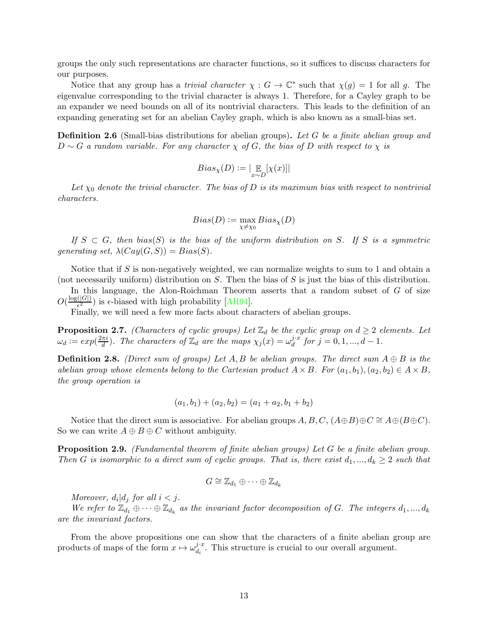groups the only such representations are character functions, so it suffices to discuss characters for our purposes.

Notice that any group has a *trivial character*  $\chi : G \to \mathbb{C}^*$  such that  $\chi(g) = 1$  for all g. The eigenvalue corresponding to the trivial character is always 1. Therefore, for a Cayley graph to be an expander we need bounds on all of its nontrivial characters. This leads to the definition of an expanding generating set for an abelian Cayley graph, which is also known as a small-bias set.

**Definition 2.6** (Small-bias distributions for abelian groups). Let G be a finite abelian group and  $D \sim G$  a random variable. For any character  $\chi$  of G, the bias of D with respect to  $\chi$  is

$$
Bias_{\chi}(D):=|\mathop{\mathbb{E}}_{x \sim D}[\chi(x)]|
$$

Let  $\chi_0$  denote the trivial character. The bias of D is its maximum bias with respect to nontrivial characters.

$$
Bias(D) := \max_{\chi \neq \chi_0} Bias_{\chi}(D)
$$

If  $S \subset G$ , then bias(S) is the bias of the uniform distribution on S. If S is a symmetric generating set,  $\lambda(Cay(G, S)) = Bias(S)$ .

Notice that if S is non-negatively weighted, we can normalize weights to sum to 1 and obtain a (not necessarily uniform) distribution on  $S$ . Then the bias of  $S$  is just the bias of this distribution.

In this language, the Alon-Roichman Theorem asserts that a random subset of G of size  $O(\frac{\log(|G|)}{\epsilon^2})$  is  $\epsilon$ -biased with high probability [\[AR94\]](#page-35-1).

Finally, we will need a few more facts about characters of abelian groups.

**Proposition 2.7.** (Characters of cyclic groups) Let  $\mathbb{Z}_d$  be the cyclic group on  $d \geq 2$  elements. Let  $\omega_d \mathrel{\mathop:}= exp(\frac{2\pi i}{d})$  $\frac{\pi i}{d}$ ). The characters of  $\mathbb{Z}_d$  are the maps  $\chi_j(x) = \omega_d^{j \cdot x}$  for  $j = 0, 1, ..., d - 1$ .

**Definition 2.8.** (Direct sum of groups) Let A, B be abelian groups. The direct sum  $A \oplus B$  is the abelian group whose elements belong to the Cartesian product  $A \times B$ . For  $(a_1, b_1), (a_2, b_2) \in A \times B$ , the group operation is

$$
(a_1, b_1) + (a_2, b_2) = (a_1 + a_2, b_1 + b_2)
$$

Notice that the direct sum is associative. For abelian groups  $A, B, C, (A \oplus B) \oplus C \cong A \oplus (B \oplus C)$ . So we can write  $A \oplus B \oplus C$  without ambiguity.

Proposition 2.9. (Fundamental theorem of finite abelian groups) Let G be a finite abelian group. Then G is isomorphic to a direct sum of cyclic groups. That is, there exist  $d_1, ..., d_k \geq 2$  such that

$$
G\cong \mathbb{Z}_{d_1}\oplus\cdots\oplus\mathbb{Z}_{d_k}
$$

Moreover,  $d_i|d_j$  for all  $i < j$ .

We refer to  $\mathbb{Z}_{d_1} \oplus \cdots \oplus \mathbb{Z}_{d_k}$  as the invariant factor decomposition of G. The integers  $d_1, ..., d_k$ are the invariant factors.

From the above propositions one can show that the characters of a finite abelian group are products of maps of the form  $x \mapsto \omega_{d_i}^{j \cdot x}$ . This structure is crucial to our overall argument.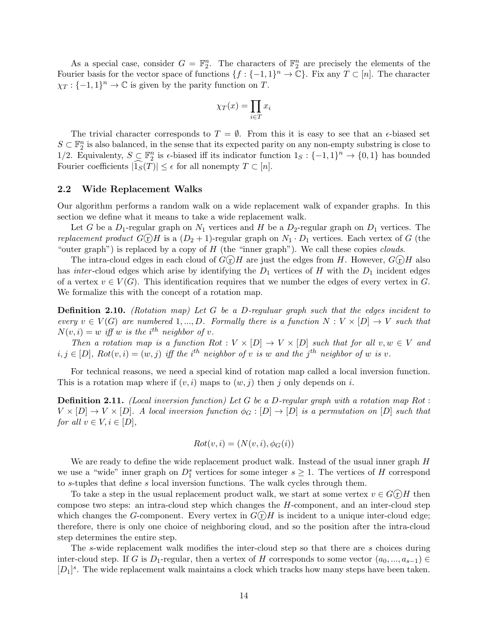As a special case, consider  $G = \mathbb{F}_2^n$ . The characters of  $\mathbb{F}_2^n$  are precisely the elements of the Fourier basis for the vector space of functions  $\{f: \{-1,1\}^n \to \mathbb{C}\}$ . Fix any  $T \subset [n]$ . The character  $\chi_T: \{-1,1\}^n \to \mathbb{C}$  is given by the parity function on T.

$$
\chi_T(x) = \prod_{i \in T} x_i
$$

The trivial character corresponds to  $T = \emptyset$ . From this it is easy to see that an  $\epsilon$ -biased set  $S \subset \mathbb{F}_2^n$  is also balanced, in the sense that its expected parity on any non-empty substring is close to 1/2. Equivalenty,  $S \subseteq \mathbb{F}_2^n$  is  $\epsilon$ -biased iff its indicator function  $1_S : \{-1,1\}^n \to \{0,1\}$  has bounded Fourier coefficients  $|\widehat{1_S}(T)| \leq \epsilon$  for all nonempty  $T \subset [n]$ .

#### <span id="page-13-0"></span>2.2 Wide Replacement Walks

Our algorithm performs a random walk on a wide replacement walk of expander graphs. In this section we define what it means to take a wide replacement walk.

Let G be a  $D_1$ -regular graph on  $N_1$  vertices and H be a  $D_2$ -regular graph on  $D_1$  vertices. The replacement product  $G\hat{\odot}H$  is a  $(D_2+1)$ -regular graph on  $N_1 \cdot D_1$  vertices. Each vertex of G (the "outer graph") is replaced by a copy of  $H$  (the "inner graph"). We call these copies *clouds*.

The intra-cloud edges in each cloud of  $G(r)H$  are just the edges from H. However,  $G(r)H$  also has *inter*-cloud edges which arise by identifying the  $D_1$  vertices of H with the  $D_1$  incident edges of a vertex  $v \in V(G)$ . This identification requires that we number the edges of every vertex in G. We formalize this with the concept of a rotation map.

**Definition 2.10.** (Rotation map) Let G be a D-reguluar graph such that the edges incident to every  $v \in V(G)$  are numbered 1, ..., D. Formally there is a function  $N: V \times [D] \rightarrow V$  such that  $N(v, i) = w$  iff w is the i<sup>th</sup> neighbor of v.

Then a rotation map is a function  $Rot: V \times [D] \rightarrow V \times [D]$  such that for all  $v, w \in V$  and  $i, j \in [D]$ ,  $Rot(v, i) = (w, j)$  iff the i<sup>th</sup> neighbor of v is w and the j<sup>th</sup> neighbor of w is v.

For technical reasons, we need a special kind of rotation map called a local inversion function. This is a rotation map where if  $(v, i)$  maps to  $(w, j)$  then j only depends on i.

**Definition 2.11.** (Local inversion function) Let G be a D-regular graph with a rotation map Rot:  $V \times [D] \rightarrow V \times [D]$ . A local inversion function  $\phi_G : [D] \rightarrow [D]$  is a permutation on  $[D]$  such that for all  $v \in V, i \in [D],$ 

$$
Rot(v, i) = (N(v, i), \phi_G(i))
$$

We are ready to define the wide replacement product walk. Instead of the usual inner graph  $H$ we use a "wide" inner graph on  $D_1^s$  vertices for some integer  $s \geq 1$ . The vertices of H correspond to s-tuples that define s local inversion functions. The walk cycles through them.

To take a step in the usual replacement product walk, we start at some vertex  $v \in G(r)H$  then compose two steps: an intra-cloud step which changes the H-component, and an inter-cloud step which changes the G-component. Every vertex in  $G(T)H$  is incident to a unique inter-cloud edge; therefore, there is only one choice of neighboring cloud, and so the position after the intra-cloud step determines the entire step.

The s-wide replacement walk modifies the inter-cloud step so that there are s choices during inter-cloud step. If G is  $D_1$ -regular, then a vertex of H corresponds to some vector  $(a_0, ..., a_{s-1}) \in$  $[D_1]^s$ . The wide replacement walk maintains a clock which tracks how many steps have been taken.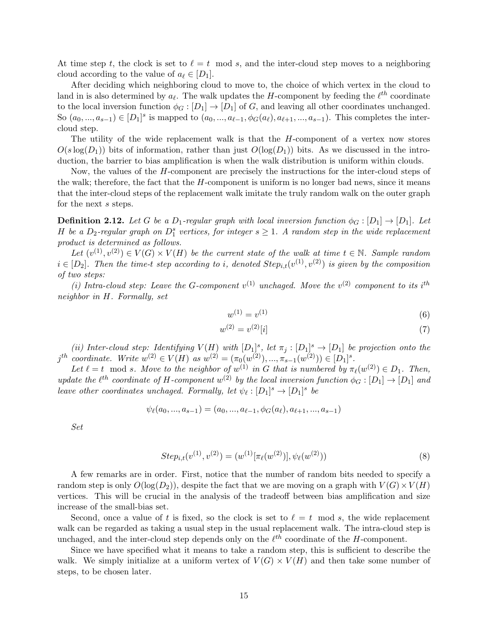At time step t, the clock is set to  $\ell = t \mod s$ , and the inter-cloud step moves to a neighboring cloud according to the value of  $a_\ell \in [D_1]$ .

After deciding which neighboring cloud to move to, the choice of which vertex in the cloud to land in is also determined by  $a_{\ell}$ . The walk updates the H-component by feeding the  $\ell^{th}$  coordinate to the local inversion function  $\phi_G : [D_1] \to [D_1]$  of G, and leaving all other coordinates unchanged. So  $(a_0, ..., a_{s-1}) \in [D_1]^s$  is mapped to  $(a_0, ..., a_{\ell-1}, \phi_G(a_{\ell}), a_{\ell+1}, ..., a_{s-1})$ . This completes the intercloud step.

The utility of the wide replacement walk is that the H-component of a vertex now stores  $O(s \log(D_1))$  bits of information, rather than just  $O(\log(D_1))$  bits. As we discussed in the introduction, the barrier to bias amplification is when the walk distribution is uniform within clouds.

Now, the values of the H-component are precisely the instructions for the inter-cloud steps of the walk; therefore, the fact that the  $H$ -component is uniform is no longer bad news, since it means that the inter-cloud steps of the replacement walk imitate the truly random walk on the outer graph for the next s steps.

**Definition 2.12.** Let G be a  $D_1$ -regular graph with local inversion function  $\phi_G : [D_1] \to [D_1]$ . Let H be a  $D_2$ -regular graph on  $D_1^s$  vertices, for integer  $s \geq 1$ . A random step in the wide replacement product is determined as follows.

Let  $(v^{(1)}, v^{(2)}) \in V(G) \times V(H)$  be the current state of the walk at time  $t \in \mathbb{N}$ . Sample random  $i \in [D_2]$ . Then the time-t step according to i, denoted  $Step_{i,t}(v^{(1)}, v^{(2)})$  is given by the composition of two steps:

(i) Intra-cloud step: Leave the G-component  $v^{(1)}$  unchaged. Move the  $v^{(2)}$  component to its i<sup>th</sup> neighbor in H. Formally, set

$$
w^{(1)} = v^{(1)} \tag{6}
$$

$$
w^{(2)} = v^{(2)}[i] \tag{7}
$$

(ii) Inter-cloud step: Identifying  $V(H)$  with  $[D_1]^s$ , let  $\pi_j : [D_1]^s \to [D_1]$  be projection onto the  $j^{th}$  coordinate. Write  $w^{(2)} \in V(H)$  as  $w^{(2)} = (\pi_0(w^{(2)}), ..., \pi_{s-1}(w^{(2)})) \in [D_1]^s$ .

Let  $\ell = t \mod s$ . Move to the neighbor of  $w^{(1)}$  in G that is numbered by  $\pi_{\ell}(w^{(2)}) \in D_1$ . Then, update the  $\ell^{th}$  coordinate of H-component  $w^{(2)}$  by the local inversion function  $\phi_G : [D_1] \to [D_1]$  and leave other coordinates unchaged. Formally, let  $\psi_{\ell} : [D_1]^s \to [D_1]^s$  be

$$
\psi_{\ell}(a_0, ..., a_{s-1}) = (a_0, ..., a_{\ell-1}, \phi_G(a_{\ell}), a_{\ell+1}, ..., a_{s-1})
$$

Set

$$
Step_{i,t}(v^{(1)}, v^{(2)}) = (w^{(1)}[\pi_{\ell}(w^{(2)})], \psi_{\ell}(w^{(2)}))
$$
\n(8)

A few remarks are in order. First, notice that the number of random bits needed to specify a random step is only  $O(\log(D_2))$ , despite the fact that we are moving on a graph with  $V(G) \times V(H)$ vertices. This will be crucial in the analysis of the tradeoff between bias amplification and size increase of the small-bias set.

Second, once a value of t is fixed, so the clock is set to  $\ell = t \mod s$ , the wide replacement walk can be regarded as taking a usual step in the usual replacement walk. The intra-cloud step is unchaged, and the inter-cloud step depends only on the  $\ell^{th}$  coordinate of the H-component.

Since we have specified what it means to take a random step, this is sufficient to describe the walk. We simply initialize at a uniform vertex of  $V(G) \times V(H)$  and then take some number of steps, to be chosen later.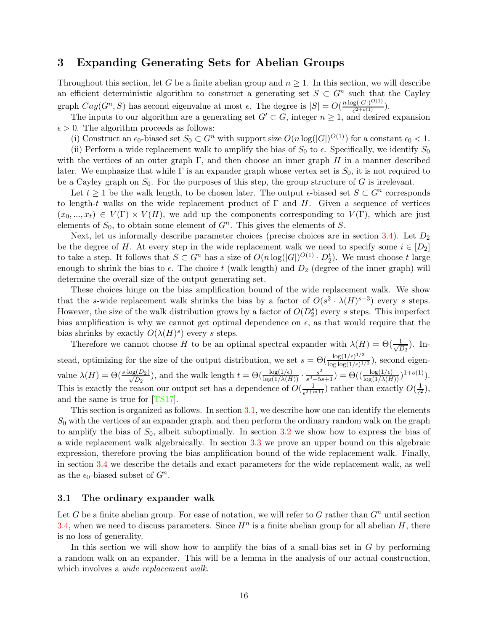# <span id="page-15-0"></span>3 Expanding Generating Sets for Abelian Groups

Throughout this section, let G be a finite abelian group and  $n \geq 1$ . In this section, we will describe an efficient deterministic algorithm to construct a generating set  $S \subset G^n$  such that the Cayley graph  $Cay(G^n, S)$  has second eigenvalue at most  $\epsilon$ . The degree is  $|S| = O(\frac{n \log(|G|)^{O(1)}}{\epsilon^{2+o(1)}})$ .

The inputs to our algorithm are a generating set  $G' \subset G$ , integer  $n \geq 1$ , and desired expansion  $\epsilon > 0$ . The algorithm proceeds as follows:

(i) Construct an  $\epsilon_0$ -biased set  $S_0 \subset G^n$  with support size  $O(n \log(|G|)^{O(1)})$  for a constant  $\epsilon_0 < 1$ .

(ii) Perform a wide replacement walk to amplify the bias of  $S_0$  to  $\epsilon$ . Specifically, we identify  $S_0$ with the vertices of an outer graph  $\Gamma$ , and then choose an inner graph H in a manner described later. We emphasize that while  $\Gamma$  is an expander graph whose vertex set is  $S_0$ , it is not required to be a Cayley graph on  $S_0$ . For the purposes of this step, the group structure of G is irrelevant.

Let  $t \geq 1$  be the walk length, to be chosen later. The output  $\epsilon$ -biased set  $S \subset G^n$  corresponds to length-t walks on the wide replacement product of  $\Gamma$  and H. Given a sequence of vertices  $(x_0, ..., x_t) \in V(\Gamma) \times V(H)$ , we add up the components corresponding to  $V(\Gamma)$ , which are just elements of  $S_0$ , to obtain some element of  $G<sup>n</sup>$ . This gives the elements of S.

Next, let us informally describe parameter choices (precise choices are in section [3.4\)](#page-29-0). Let  $D_2$ be the degree of H. At every step in the wide replacement walk we need to specify some  $i \in [D_2]$ to take a step. It follows that  $S \subset G^n$  has a size of  $O(n \log(|G|)^{O(1)} \cdot D_2^t)$ . We must choose t large enough to shrink the bias to  $\epsilon$ . The choice t (walk length) and  $D_2$  (degree of the inner graph) will determine the overall size of the output generating set.

These choices hinge on the bias amplification bound of the wide replacement walk. We show that the s-wide replacement walk shrinks the bias by a factor of  $O(s^2 \cdot \lambda(H)^{s-3})$  every s steps. However, the size of the walk distribution grows by a factor of  $O(D_2^s)$  every s steps. This imperfect bias amplification is why we cannot get optimal dependence on  $\epsilon$ , as that would require that the bias shrinks by exactly  $O(\lambda(H)^s)$  every s steps.

Therefore we cannot choose H to be an optimal spectral expander with  $\lambda(H) = \Theta(\frac{1}{\sqrt{D}})$ . In- $D_2$ stead, optimizing for the size of the output distribution, we set  $s = \Theta(\frac{\log(1/\epsilon)^{1/3}}{\log \log(1/\epsilon))}$  $\frac{\log(1/\epsilon)^{1/3}}{\log\log(1/\epsilon)^{1/3}}$ , second eigenvalue  $\lambda(H) = \Theta(\frac{s \cdot \log(D_2)}{\sqrt{D_2}})$ , and the walk length  $t = \Theta(\frac{\log(1/\epsilon)}{\log(1/\lambda(H))} \cdot \frac{s^2}{s^2-5s^2})$  $\frac{s^2}{s^2-5s+1}$ ) =  $\Theta((\frac{\log(1/\epsilon)}{\log(1/\lambda(H))})^{1+o(1)}).$ This is exactly the reason our output set has a dependence of  $O(\frac{1}{e^{2+\epsilon}})$  $\frac{1}{e^{2+o(1)}}$ ) rather than exactly  $O(\frac{1}{e^2})$  $\frac{1}{\epsilon^2}),$ and the same is true for [\[TS17\]](#page-37-5).

This section is organized as follows. In section [3.1,](#page-15-1) we describe how one can identify the elements  $S_0$  with the vertices of an expander graph, and then perform the ordinary random walk on the graph to amplify the bias of  $S_0$ , albeit suboptimally. In section [3.2](#page-18-0) we show how to express the bias of a wide replacement walk algebraically. In section [3.3](#page-21-0) we prove an upper bound on this algebraic expression, therefore proving the bias amplification bound of the wide replacement walk. Finally, in section [3.4](#page-29-0) we describe the details and exact parameters for the wide replacement walk, as well as the  $\epsilon_0$ -biased subset of  $G^n$ .

## <span id="page-15-1"></span>3.1 The ordinary expander walk

Let G be a finite abelian group. For ease of notation, we will refer to G rather than  $G<sup>n</sup>$  until section [3.4,](#page-29-0) when we need to discuss parameters. Since  $H^n$  is a finite abelian group for all abelian  $H$ , there is no loss of generality.

In this section we will show how to amplify the bias of a small-bias set in  $G$  by performing a random walk on an expander. This will be a lemma in the analysis of our actual construction, which involves a *wide replacement walk*.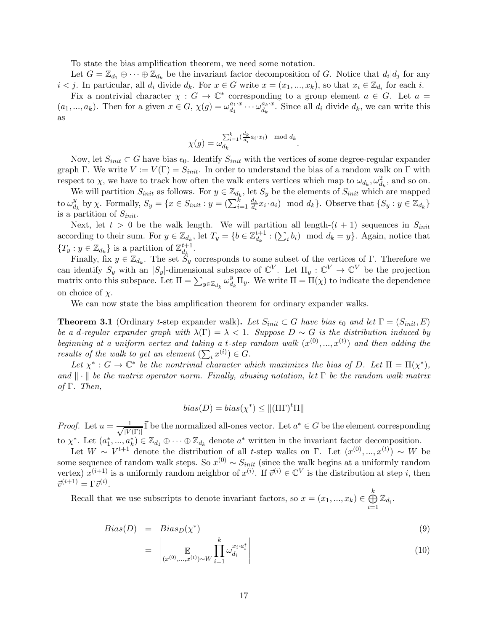To state the bias amplification theorem, we need some notation.

Let  $G = \mathbb{Z}_{d_1} \oplus \cdots \oplus \mathbb{Z}_{d_k}$  be the invariant factor decomposition of G. Notice that  $d_i | d_j$  for any  $i < j$ . In particular, all  $d_i$  divide  $d_k$ . For  $x \in G$  write  $x = (x_1, ..., x_k)$ , so that  $x_i \in \mathbb{Z}_{d_i}$  for each i.

Fix a nontrivial character  $\chi : G \to \mathbb{C}^*$  corresponding to a group element  $a \in G$ . Let  $a =$  $(a_1, ..., a_k)$ . Then for a given  $x \in G$ ,  $\chi(g) = \omega_{d_1}^{a_1 \cdot x} \cdots \omega_{d_k}^{a_k \cdot x}$ . Since all  $d_i$  divide  $d_k$ , we can write this as

$$
\chi(g) = \omega_{d_k}^{\sum_{i=1}^k \left(\frac{d_k}{d_i} a_i \cdot x_i\right) \mod d_k}.
$$

Now, let  $S_{init} \subset G$  have bias  $\epsilon_0$ . Identify  $S_{init}$  with the vertices of some degree-regular expander graph Γ. We write  $V := V(\Gamma) = S_{init}$ . In order to understand the bias of a random walk on Γ with respect to  $\chi$ , we have to track how often the walk enters vertices which map to  $\omega_{d_k}, \omega_{d_k}^2$ , and so on.

We will partition  $S_{init}$  as follows. For  $y \in \mathbb{Z}_{d_k}$ , let  $S_y$  be the elements of  $S_{init}$  which are mapped to  $\omega_d^y$  $\mathcal{L}_{d_k}^y$  by  $\chi$ . Formally,  $S_y = \{x \in S_{init} : y = (\sum_{i=1}^k \frac{d_k}{d_i})\}$  $\frac{d_k}{d_i} x_i \cdot a_i$  mod  $d_k$ . Observe that  $\{S_y : y \in \mathbb{Z}_{d_k}\}\$ is a partition of  $S_{init}$ .

Next, let  $t > 0$  be the walk length. We will partition all length- $(t + 1)$  sequences in  $S_{init}$ according to their sum. For  $y \in \mathbb{Z}_{d_k}$ , let  $T_y = \{b \in \mathbb{Z}_{d_k}^{t+1}\}$  $\mathcal{L}_{d_k}^{t+1} : (\sum_i b_i) \mod d_k = y\}.$  Again, notice that  $\{T_y : y \in \mathbb{Z}_{d_k}\}\$ is a partition of  $\mathbb{Z}_{d_k}^{t+1}$  $\frac{t+1}{d_k}$  .

Finally, fix  $y \in \mathbb{Z}_{d_k}$ . The set  $\widetilde{S}_y$  corresponds to some subset of the vertices of  $\Gamma$ . Therefore we can identify  $S_y$  with an  $|S_y|$ -dimensional subspace of  $\mathbb{C}^V$ . Let  $\Pi_y : \mathbb{C}^V \to \mathbb{C}^V$  be the projection matrix onto this subspace. Let  $\Pi = \sum_{y \in \mathbb{Z}_{d_k}} \omega_d^y$  $\prod_{d_k}^y \Pi_y$ . We write  $\Pi = \Pi(\chi)$  to indicate the dependence on choice of  $\chi$ .

We can now state the bias amplification theorem for ordinary expander walks.

**Theorem 3.1** (Ordinary t-step expander walk). Let  $S_{init} \subset G$  have bias  $\epsilon_0$  and let  $\Gamma = (S_{init}, E)$ be a d-regular expander graph with  $\lambda(\Gamma) = \lambda < 1$ . Suppose  $D \sim G$  is the distribution induced by beginning at a uniform vertex and taking a t-step random walk  $(x^{(0)},...,x^{(t)})$  and then adding the results of the walk to get an element  $(\sum_i x^{(i)}) \in G$ .

Let  $\chi^*: G \to \mathbb{C}^*$  be the nontrivial character which maximizes the bias of D. Let  $\Pi = \Pi(\chi^*),$ and  $\|\cdot\|$  be the matrix operator norm. Finally, abusing notation, let Γ be the random walk matrix of  $\Gamma$ . Then,

$$
bias(D) = bias(\chi^*) \le ||(\Pi\Gamma)^t \Pi||
$$

*Proof.* Let  $u = \frac{1}{\sqrt{W}}$  $\frac{1}{|V(\Gamma)|}$ <sup>T</sup> be the normalized all-ones vector. Let  $a^* \in G$  be the element corresponding to  $\chi^*$ . Let  $(a_1^*,...,a_k^*)\in \mathbb{Z}_{d_1}\oplus\cdots\oplus \mathbb{Z}_{d_k}$  denote  $a^*$  written in the invariant factor decomposition.

Let  $W \sim V^{t+1}$  denote the distribution of all t-step walks on  $\Gamma$ . Let  $(x^{(0)},...,x^{(t)}) \sim W$  be some sequence of random walk steps. So  $x^{(0)} \sim S_{init}$  (since the walk begins at a uniformly random vertex)  $x^{(i+1)}$  is a uniformly random neighbor of  $x^{(i)}$ . If  $\vec{v}^{(i)} \in \mathbb{C}^V$  is the distribution at step *i*, then  $\vec{v}^{(i+1)} = \Gamma \vec{v}^{(i)}.$ 

Recall that we use subscripts to denote invariant factors, so  $x = (x_1, ..., x_k) \in \bigoplus_{i=1}^k$  $\bigoplus_{i=1}^{\infty} \mathbb{Z}_{d_i}.$ 

$$
Bias(D) = Bias_D(\chi^*)
$$
\n<sup>(9)</sup>

$$
= \left| \mathop{\mathbb{E}}_{(x^{(0)},...,x^{(t)}) \sim W} \prod_{i=1}^{k} \omega_{d_i}^{x_i \cdot a_i^*} \right| \tag{10}
$$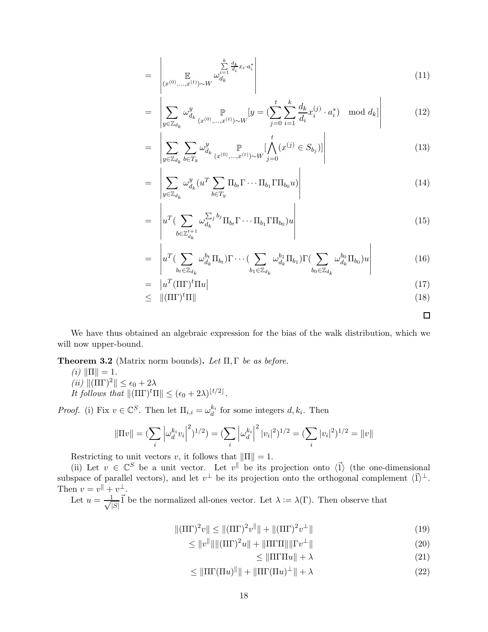$$
= \begin{vmatrix} \sum_{i=1}^{k} \frac{d_k}{d_i} x_i \cdot a_i^* \\ \mathbb{E}_{(x^{(0)},...,x^{(t)}) \sim W} \omega_{d_k}^{i=1} \end{vmatrix}
$$
 (11)

$$
= \left| \sum_{y \in \mathbb{Z}_{d_k}} \omega_{d_k}^y \operatorname*{\mathbb{P}}_{(x^{(0)},...,x^{(t)}) \sim W} [y = (\sum_{j=0}^t \sum_{i=1}^k \frac{d_k}{d_i} x_i^{(j)} \cdot a_i^*) \mod d_k] \right| \tag{12}
$$

$$
= \left| \sum_{y \in \mathbb{Z}_{d_k}} \sum_{b \in T_y} \omega_{d_k}^y \Pr_{(x^{(0)},...,x^{(t)}) \sim W} \left[ \bigwedge_{j=0}^t (x^{(j)} \in S_{b_j}) \right] \right| \tag{13}
$$

$$
= \left| \sum_{y \in \mathbb{Z}_{d_k}} \omega_{d_k}^y (u^T \sum_{b \in T_y} \Pi_{b_t} \Gamma \cdots \Pi_{b_1} \Gamma \Pi_{b_0} u) \right| \tag{14}
$$

$$
= \left| u^T \left( \sum_{b \in \mathbb{Z}_{d_k}^{t+1}} \omega_{d_k}^{\sum_j b_j} \Pi_{b_t} \Gamma \cdots \Pi_{b_1} \Gamma \Pi_{b_0} \right) u \right| \tag{15}
$$

$$
= \left| u^T \left( \sum_{b_t \in \mathbb{Z}_{d_k}} \omega_{d_k}^{b_t} \Pi_{b_t} \right) \Gamma \cdots \left( \sum_{b_1 \in \mathbb{Z}_{d_k}} \omega_{d_k}^{b_1} \Pi_{b_1} \right) \Gamma \left( \sum_{b_0 \in \mathbb{Z}_{d_k}} \omega_{d_k}^{b_0} \Pi_{b_0} \right) u \right| \tag{16}
$$

$$
= |u^T (\Pi \Gamma)^t \Pi u| \tag{17}
$$

$$
\leq \|\Pi\Gamma)^t\Pi\| \tag{18}
$$

 $\Box$ 

We have thus obtained an algebraic expression for the bias of the walk distribution, which we will now upper-bound.

**Theorem 3.2** (Matrix norm bounds). Let  $\Pi$ ,  $\Gamma$  be as before.

- (*i*)  $\|\Pi\| = 1$ . (ii)  $\|(\Pi\Gamma)^2\| \leq \epsilon_0 + 2\lambda$
- It follows that  $\|(\Pi\Gamma)^t\Pi\| \leq (\epsilon_0 + 2\lambda)^{\lfloor t/2 \rfloor}$ .

*Proof.* (i) Fix  $v \in \mathbb{C}^S$ . Then let  $\Pi_{i,i} = \omega_d^{k_i}$  for some integers  $d, k_i$ . Then

$$
\|\Pi v\| = \left(\sum_{i} \left| \omega_d^{k_i} v_i \right|^2\right)^{1/2} = \left(\sum_{i} \left| \omega_d^{k_i} \right|^2 |v_i|^2\right)^{1/2} = \left(\sum_{i} |v_i|^2\right)^{1/2} = \|v\|
$$

Restricting to unit vectors v, it follows that  $\|\Pi\| = 1$ .

(ii) Let  $v \in \mathbb{C}^S$  be a unit vector. Let  $v^{\parallel}$  be its projection onto  $\langle \vec{1} \rangle$  (the one-dimensional subspace of parallel vectors), and let  $v^{\perp}$  be its projection onto the orthogonal complement  $\langle \vec{1} \rangle^{\perp}$ . Then  $v = v^{\parallel} + v^{\perp}$ .

Let  $u=\frac{1}{\sqrt{1}}$  $\frac{1}{|S|} \vec{l}$  be the normalized all-ones vector. Let  $\lambda := \lambda(\Gamma)$ . Then observe that

$$
\|(\Pi\Gamma)^2 v\| \le \|(\Pi\Gamma)^2 v^{\parallel}\| + \|(\Pi\Gamma)^2 v^{\perp}\| \tag{19}
$$

$$
\leq \|v^{\parallel}\| \|\text{(III)}^2 u\| + \|\text{III}\text{III}\| \| \text{I}v^{\perp}\| \tag{20}
$$

$$
\leq \|\Pi\Gamma\Pi u\| + \lambda \tag{21}
$$

$$
\leq \|\Pi\Gamma(\Pi u)^{\parallel}\| + \|\Pi\Gamma(\Pi u)^{\perp}\| + \lambda \tag{22}
$$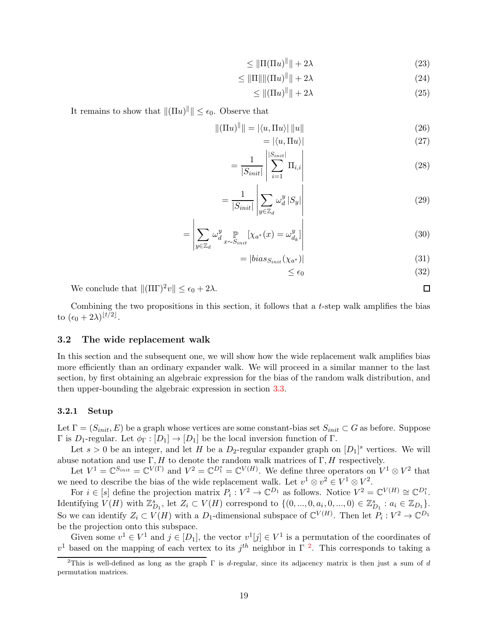$\leq \|\Pi(\Pi u)^{\parallel}\| + 2\lambda$  (23)

$$
\leq \|\Pi\| \|\Pi u\|^{\|\|} + 2\lambda \tag{24}
$$

 $\leq \|(\Pi u)^{\parallel}\| + 2\lambda$  (25)

It remains to show that  $\|(\Pi u)\| \leq \epsilon_0$ . Observe that

$$
\|(\Pi u)^{\parallel}\| = |\langle u, \Pi u \rangle| \, \|u\| \tag{26}
$$

$$
= |\langle u, \Pi u \rangle| \tag{27}
$$

$$
= \frac{1}{|S_{init}|} \left| \sum_{i=1}^{|S_{init}|} \Pi_{i,i} \right| \tag{28}
$$

$$
=\frac{1}{|S_{init}|}\left|\sum_{y\in\mathbb{Z}_d}\omega_d^y\,|S_y|\right|\tag{29}
$$

$$
= \left| \sum_{y \in \mathbb{Z}_d} \omega_d^y \max_{x \sim S_{init}} [\chi_{a^*}(x) = \omega_{d_k}^y] \right| \tag{30}
$$

$$
= |bias_{S_{init}}(\chi_{a^*})|
$$
\n(31)

$$
\leq \epsilon_0 \tag{32}
$$

 $\Box$ 

We conclude that  $\|(\Pi\Gamma)^2 v\| \leq \epsilon_0 + 2\lambda$ .

Combining the two propositions in this section, it follows that a  $t$ -step walk amplifies the bias to  $(\epsilon_0 + 2\lambda)^{\lfloor t/2 \rfloor}$ .

#### <span id="page-18-0"></span>3.2 The wide replacement walk

In this section and the subsequent one, we will show how the wide replacement walk amplifies bias more efficiently than an ordinary expander walk. We will proceed in a similar manner to the last section, by first obtaining an algebraic expression for the bias of the random walk distribution, and then upper-bounding the algebraic expression in section [3.3.](#page-21-0)

#### <span id="page-18-1"></span>3.2.1 Setup

Let  $\Gamma = (S_{init}, E)$  be a graph whose vertices are some constant-bias set  $S_{init} \subset G$  as before. Suppose  $Γ$  is  $D_1$ -regular. Let  $φ_Γ : [D_1] → [D_1]$  be the local inversion function of Γ.

Let  $s > 0$  be an integer, and let H be a  $D_2$ -regular expander graph on  $[D_1]^s$  vertices. We will abuse notation and use  $\Gamma$ , H to denote the random walk matrices of  $\Gamma$ , H respectively.

Let  $V^1 = \mathbb{C}^{S_{init}} = \mathbb{C}^{V(\Gamma)}$  and  $V^2 = \mathbb{C}^{D_1^s} = \mathbb{C}^{V(H)}$ . We define three operators on  $V^1 \otimes V^2$  that we need to describe the bias of the wide replacement walk. Let  $v^1 \otimes v^2 \in V^1 \otimes V^2$ .

For  $i \in [s]$  define the projection matrix  $P_i: V^2 \to \mathbb{C}^{D_1}$  as follows. Notice  $V^2 = \mathbb{C}^{V(H)} \cong \mathbb{C}^{D_1^s}$ . Identifying  $V(H)$  with  $\mathbb{Z}_{D_1}^s$ , let  $Z_i \subset V(H)$  correspond to  $\{(0, ..., 0, a_i, 0, ..., 0) \in \mathbb{Z}_{D_1}^s : a_i \in \mathbb{Z}_{D_1}\}.$ So we can identify  $Z_i \subset V(H)$  with a  $D_1$ -dimensional subspace of  $\mathbb{C}^{V(H)}$ . Then let  $P_i: V^2 \to \mathbb{C}^{D_1}$ be the projection onto this subspace.

Given some  $v^1 \in V^1$  and  $j \in [D_1]$ , the vector  $v^1[j] \in V^1$  is a permutation of the coordinates of  $v<sup>1</sup>$  based on the mapping of each vertex to its  $j<sup>th</sup>$  neighbor in  $\Gamma$ <sup>[2](#page-18-2)</sup>. This corresponds to taking a

<span id="page-18-2"></span><sup>&</sup>lt;sup>2</sup>This is well-defined as long as the graph  $\Gamma$  is d-regular, since its adjacency matrix is then just a sum of d permutation matrices.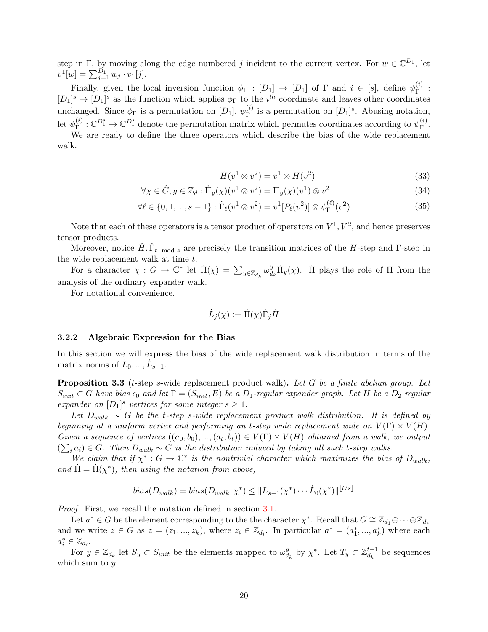step in Γ, by moving along the edge numbered j incident to the current vertex. For  $w \in \mathbb{C}^{D_1}$ , let  $v^1[w] = \sum_{j=1}^{D_1} w_j \cdot v_1[j].$ 

Finally, given the local inversion function  $\phi_{\Gamma} : [D_1] \to [D_1]$  of  $\Gamma$  and  $i \in [s]$ , define  $\psi_{\Gamma}^{(i)}$  $\mathop{\Gamma}\limits^{(i)}$  :  $[D_1]^s \to [D_1]^s$  as the function which applies  $\phi_{\Gamma}$  to the i<sup>th</sup> coordinate and leaves other coordinates unchanged. Since  $\phi_{\Gamma}$  is a permutation on  $[D_1], \psi_{\Gamma}^{(i)}$  $_{\Gamma}^{(i)}$  is a permutation on  $[D_1]$ <sup>s</sup>. Abusing notation,  $\mathrm{let} \; \psi_{\Gamma}^{(i)}$  $\mathcal{L}^{(i)}_{\Gamma} : \mathbb{C}^{D_1^s} \to \mathbb{C}^{D_1^s}$  denote the permutation matrix which permutes coordinates according to  $\psi_{\Gamma}^{(i)}$ Γ .

We are ready to define the three operators which describe the bias of the wide replacement walk.

$$
\dot{H}(v^1 \otimes v^2) = v^1 \otimes H(v^2)
$$
\n(33)

$$
\forall \chi \in \hat{G}, y \in \mathbb{Z}_d : \dot{\Pi}_y(\chi)(v^1 \otimes v^2) = \Pi_y(\chi)(v^1) \otimes v^2 \tag{34}
$$

$$
\forall \ell \in \{0, 1, ..., s - 1\} : \dot{\Gamma}_{\ell}(v^1 \otimes v^2) = v^1 [P_{\ell}(v^2)] \otimes \psi_{\Gamma}^{(\ell)}(v^2)
$$
(35)

Note that each of these operators is a tensor product of operators on  $V^1, V^2$ , and hence preserves tensor products.

Moreover, notice  $\dot{H}, \dot{\Gamma}_{t \mod s}$  are precisely the transition matrices of the H-step and  $\Gamma$ -step in the wide replacement walk at time t.

For a character  $\chi : G \to \mathbb{C}^*$  let  $\Pi(\chi) = \sum_{y \in \mathbb{Z}_{d_k}} \omega_d^y$  $\prod_{d_k}^y \dot{\Pi}_y(\chi)$ . If plays the role of  $\Pi$  from the analysis of the ordinary expander walk.

For notational convenience,

$$
\dot{L}_j(\chi) := \dot{\Pi}(\chi)\dot{\Gamma}_j\dot{H}
$$

# <span id="page-19-0"></span>3.2.2 Algebraic Expression for the Bias

In this section we will express the bias of the wide replacement walk distribution in terms of the matrix norms of  $\dot{L}_0, ..., \dot{L}_{s-1}$ .

**Proposition 3.3** (t-step s-wide replacement product walk). Let G be a finite abelian group. Let  $S_{init} \subset G$  have bias  $\epsilon_0$  and let  $\Gamma = (S_{init}, E)$  be a  $D_1$ -regular expander graph. Let H be a  $D_2$  regular expander on  $[D_1]^s$  vertices for some integer  $s \geq 1$ .

Let  $D_{walk} \sim G$  be the t-step s-wide replacement product walk distribution. It is defined by beginning at a uniform vertex and performing an t-step wide replacement wide on  $V(\Gamma) \times V(H)$ . Given a sequence of vertices  $((a_0, b_0), ..., (a_t, b_t)) \in V(\Gamma) \times V(H)$  obtained from a walk, we output  $(\sum_i a_i) \in G$ . Then  $D_{walk} \sim G$  is the distribution induced by taking all such t-step walks.

We claim that if  $\chi^*: G \to \mathbb{C}^*$  is the nontrivial character which maximizes the bias of  $D_{walk}$ , and  $\dot{\Pi} = \dot{\Pi}(\chi^*)$ , then using the notation from above,

$$
bias(D_{walk}) = bias(D_{walk}, \chi^*) \leq ||\dot{L}_{s-1}(\chi^*) \cdots \dot{L}_0(\chi^*)||^{[t/s]}
$$

Proof. First, we recall the notation defined in section [3.1.](#page-15-1)

Let  $a^* \in G$  be the element corresponding to the the character  $\chi^*$ . Recall that  $G \cong \mathbb{Z}_{d_1} \oplus \cdots \oplus \mathbb{Z}_{d_k}$ and we write  $z \in G$  as  $z = (z_1, ..., z_k)$ , where  $z_i \in \mathbb{Z}_{d_i}$ . In particular  $a^* = (a_1^*, ..., a_k^*)$  where each  $a_i^* \in \mathbb{Z}_{d_i}.$ 

For  $y \in \mathbb{Z}_{d_k}$  let  $S_y \subset S_{init}$  be the elements mapped to  $\omega_d^y$  $\frac{y}{d_k}$  by  $\chi^*$ . Let  $T_y \subset \mathbb{Z}_{d_k}^{t+1}$  $\frac{t+1}{d_k}$  be sequences which sum to  $y$ .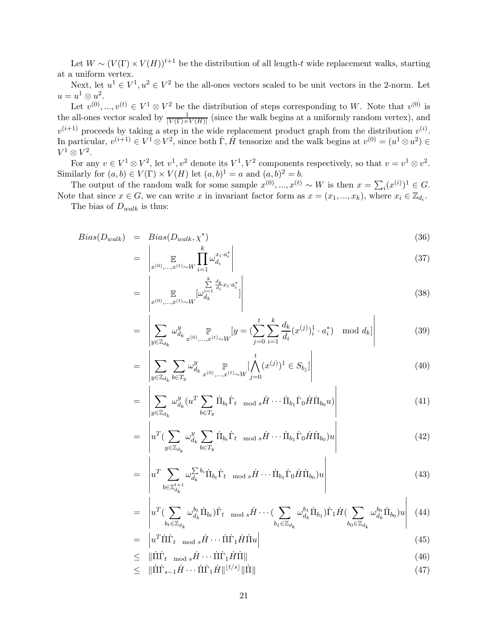Let  $W \sim (V(\Gamma) \times V(H))^{t+1}$  be the distribution of all length-t wide replacement walks, starting at a uniform vertex.

Next, let  $u^1 \in V^1, u^2 \in V^2$  be the all-ones vectors scaled to be unit vectors in the 2-norm. Let  $u = u^1 \otimes u^2.$ 

Let  $v^{(0)},...,v^{(t)} \in V^1 \otimes V^2$  be the distribution of steps corresponding to W. Note that  $v^{(0)}$  is the all-ones vector scaled by  $\frac{1}{|V(\Gamma)\times V(H)|}$  (since the walk begins at a uniformly random vertex), and  $v^{(i+1)}$  proceeds by taking a step in the wide replacement product graph from the distribution  $v^{(i)}$ . In particular,  $v^{(i+1)} \in V^1 \otimes V^2$ , since both  $\dot{\Gamma}$ ,  $\dot{H}$  tensorize and the walk begins at  $v^{(0)} = (u^1 \otimes u^2) \in$  $V^1\otimes V^2$ .

For any  $v \in V^1 \otimes V^2$ , let  $v^1, v^2$  denote its  $V^1, V^2$  components respectively, so that  $v = v^1 \otimes v^2$ . Similarly for  $(a, b) \in V(\Gamma) \times V(H)$  let  $(a, b)^1 = a$  and  $(a, b)^2 = b$ .

The output of the random walk for some sample  $x^{(0)},...,x^{(t)} \sim W$  is then  $x = \sum_i (x^{(i)})^1 \in G$ . Note that since  $x \in G$ , we can write x in invariant factor form as  $x = (x_1, ..., x_k)$ , where  $x_i \in \mathbb{Z}_{d_i}$ . The bias of  $D_{walk}$  is thus:

 $Bias(D_{walk}) = Bias(D_{walk}, \chi^*$  $)$  (36)  $\overline{\phantom{a}}$ 

$$
= \left| \mathbb{E}_{x^{(0)},...,x^{(t)} \sim W} \prod_{i=1}^{k} \omega_{d_i}^{x_i \cdot a_i^*} \right| \tag{37}
$$

$$
= \left| \mathbb{E}_{x^{(0)},...,x^{(t)} \sim W} [\omega_{d_k}^{\sum_{i=1}^k \frac{d_k}{d_i} x_i \cdot a_i^*}] \right|
$$
(38)

$$
= \left| \sum_{y \in \mathbb{Z}_{d_k}} \omega_{d_{k}}^{y} \mathbb{P}_{x^{(0)},...,x^{(t)} \sim W} [y = (\sum_{j=0}^{t} \sum_{i=1}^{k} \frac{d_k}{d_i} (x^{(j)})_i^1 \cdot a_i^*) \mod d_k \right| \tag{39}
$$

$$
= \left| \sum_{y \in \mathbb{Z}_{d_k}} \sum_{b \in T_y} \omega_{d_k}^y \mathbb{P}_{x^{(0)},...,x^{(t)} \sim W} \left[ \bigwedge_{j=0}^t (x^{(j)})^1 \in S_{b_j} \right] \right| \tag{40}
$$

$$
= \left| \sum_{y \in \mathbb{Z}_{d_k}} \omega_{d_k}^y (u^T \sum_{b \in T_y} \dot{\Pi}_{b_t} \dot{\Gamma}_t \mod s \dot{H} \cdots \dot{\Pi}_{b_1} \dot{\Gamma}_0 \dot{H} \dot{\Pi}_{b_0} u) \right| \tag{41}
$$

$$
= \left| u^T \left( \sum_{y \in \mathbb{Z}_{d_k}} \omega_{d_k}^y \sum_{b \in T_y} \dot{\Pi}_{b_t} \dot{\Gamma}_t \mod s \dot{H} \cdots \dot{\Pi}_{b_1} \dot{\Gamma}_0 \dot{H} \dot{\Pi}_{b_0} \right) u \right| \tag{42}
$$

$$
= \left| u^T \sum_{b \in \mathbb{Z}_{d_k}^{t+1}} \omega_{d_k}^{\sum b_i} \dot{\Pi}_{b_t} \dot{\Gamma}_t \mod s \dot{H} \cdots \dot{\Pi}_{b_1} \dot{\Gamma}_0 \dot{H} \dot{\Pi}_{b_0} u \right| \tag{43}
$$

$$
= \left| u^T \left( \sum_{b_t \in \mathbb{Z}_{d_k}} \omega_{d_k}^{b_t} \dot{\Pi}_{b_t} \right) \dot{\Gamma}_t \mod s \dot{H} \cdots \left( \sum_{b_1 \in \mathbb{Z}_{d_k}} \omega_{d_k}^{b_1} \dot{\Pi}_{b_1} \right) \dot{\Gamma}_1 \dot{H} \left( \sum_{b_0 \in \mathbb{Z}_{d_k}} \omega_{d_k}^{b_0} \dot{\Pi}_{b_0} \right) u \right| \tag{44}
$$

$$
= \left| u^T \dot{\Pi} \dot{\Gamma}_t \mod s \dot{H} \cdots \dot{\Pi} \dot{\Gamma}_1 \dot{H} \dot{\Pi} u \right| \tag{45}
$$

$$
\leq \|\dot{\Pi}\dot{\Gamma}_t\|_{\text{mod }s}\dot{H}\cdots\dot{\Pi}\dot{\Gamma}_1\dot{H}\dot{\Pi}\| \tag{46}
$$

$$
\leq \|\Pi\dot{\Gamma}_{s-1}\dot{H}\cdots\dot{\Pi}\dot{\Gamma}_1\dot{H}\|^{[t/s]} \|\dot{\Pi}\| \tag{47}
$$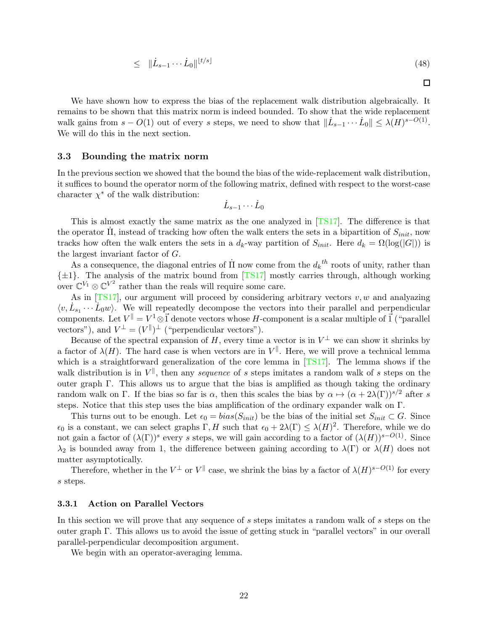$$
\leq \quad \|\dot{L}_{s-1} \cdots \dot{L}_0\|^{[t/s]} \tag{48}
$$

 $\Box$ 

We have shown how to express the bias of the replacement walk distribution algebraically. It remains to be shown that this matrix norm is indeed bounded. To show that the wide replacement walk gains from  $s - O(1)$  out of every s steps, we need to show that  $\|\dot{L}_{s-1} \cdots \dot{L}_0\| \leq \lambda(H)^{s - O(1)}$ . We will do this in the next section.

#### <span id="page-21-0"></span>3.3 Bounding the matrix norm

In the previous section we showed that the bound the bias of the wide-replacement walk distribution, it suffices to bound the operator norm of the following matrix, defined with respect to the worst-case character  $\chi^*$  of the walk distribution:

$$
\dot{L}_{s-1}\cdots\dot{L}_0
$$

This is almost exactly the same matrix as the one analyzed in [\[TS17\]](#page-37-5). The difference is that the operator  $\Pi$ , instead of tracking how often the walk enters the sets in a bipartition of  $S_{init}$ , now tracks how often the walk enters the sets in a  $d_k$ -way partition of  $S_{init}$ . Here  $d_k = \Omega(\log(|G|))$  is the largest invariant factor of G.

As a consequence, the diagonal entries of  $\Pi$  now come from the  $d_k{}^{th}$  roots of unity, rather than  $\{\pm 1\}$ . The analysis of the matrix bound from [\[TS17\]](#page-37-5) mostly carries through, although working over  $\mathbb{C}^{V_1} \otimes \mathbb{C}^{V^2}$  rather than the reals will require some care.

As in [\[TS17\]](#page-37-5), our argument will proceed by considering arbitrary vectors  $v, w$  and analyazing  $\langle v, L_{s_1} \cdots L_0 w \rangle$ . We will repeatedly decompose the vectors into their parallel and perpendicular components. Let  $V^{\parallel} = V^1 \otimes \vec{1}$  denote vectors whose H-component is a scalar multiple of  $\vec{1}$  ("parallel") vectors"), and  $V^{\perp} = (V^{\parallel})^{\perp}$  ("perpendicular vectors").

Because of the spectral expansion of H, every time a vector is in  $V^{\perp}$  we can show it shrinks by a factor of  $\lambda(H)$ . The hard case is when vectors are in  $V^{\parallel}$ . Here, we will prove a technical lemma which is a straightforward generalization of the core lemma in [\[TS17\]](#page-37-5). The lemma shows if the walk distribution is in  $V^{\parallel}$ , then any sequence of s steps imitates a random walk of s steps on the outer graph Γ. This allows us to argue that the bias is amplified as though taking the ordinary random walk on Γ. If the bias so far is  $\alpha$ , then this scales the bias by  $\alpha \mapsto (\alpha + 2\lambda(\Gamma))^{s/2}$  after s steps. Notice that this step uses the bias amplification of the ordinary expander walk on Γ.

This turns out to be enough. Let  $\epsilon_0 = bias(S_{init})$  be the bias of the initial set  $S_{init} \subset G$ . Since  $\epsilon_0$  is a constant, we can select graphs  $\Gamma, H$  such that  $\epsilon_0 + 2\lambda(\Gamma) \leq \lambda(H)^2$ . Therefore, while we do not gain a factor of  $(\lambda(\Gamma))^s$  every s steps, we will gain according to a factor of  $(\lambda(H))^{s-O(1)}$ . Since  $\lambda_2$  is bounded away from 1, the difference between gaining according to  $\lambda(\Gamma)$  or  $\lambda(H)$  does not matter asymptotically.

Therefore, whether in the  $V^{\perp}$  or  $V^{\parallel}$  case, we shrink the bias by a factor of  $\lambda(H)^{s-O(1)}$  for every s steps.

### <span id="page-21-1"></span>3.3.1 Action on Parallel Vectors

In this section we will prove that any sequence of s steps imitates a random walk of s steps on the outer graph Γ. This allows us to avoid the issue of getting stuck in "parallel vectors" in our overall parallel-perpendicular decomposition argument.

We begin with an operator-averaging lemma.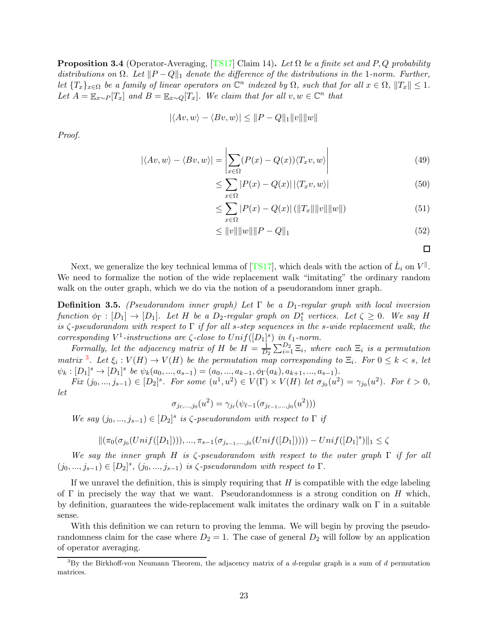**Proposition 3.4** (Operator-Averaging, [\[TS17\]](#page-37-5) Claim 14). Let  $\Omega$  be a finite set and P, Q probability distributions on  $\Omega$ . Let  $||P - Q||_1$  denote the difference of the distributions in the 1-norm. Further, let  $\{T_x\}_{x\in\Omega}$  be a family of linear operators on  $\mathbb{C}^n$  indexed by  $\Omega$ , such that for all  $x \in \Omega$ ,  $||T_x|| \leq 1$ . Let  $A = \mathbb{E}_{x \sim P}[T_x]$  and  $B = \mathbb{E}_{x \sim Q}[T_x]$ . We claim that for all  $v, w \in \mathbb{C}^n$  that

$$
|\langle Av, w \rangle - \langle Bv, w \rangle| \le ||P - Q||_1 ||v|| ||w||
$$

Proof.

$$
|\langle Av, w \rangle - \langle Bv, w \rangle| = \left| \sum_{x \in \Omega} (P(x) - Q(x)) \langle T_x v, w \rangle \right| \tag{49}
$$

$$
\leq \sum_{x \in \Omega} |P(x) - Q(x)| |\langle T_x v, w \rangle| \tag{50}
$$

$$
\leq \sum_{x \in \Omega} |P(x) - Q(x)| \left( \|T_x\| \|v\| \|w\| \right) \tag{51}
$$

$$
\leq ||v|| ||w|| ||P - Q||_1 \tag{52}
$$

 $\Box$ 

Next, we generalize the key technical lemma of [\[TS17\]](#page-37-5), which deals with the action of  $\dot{L}_i$  on  $V^{\parallel}$ . We need to formalize the notion of the wide replacement walk "imitating" the ordinary random walk on the outer graph, which we do via the notion of a pseudorandom inner graph.

**Definition 3.5.** (Pseudorandom inner graph) Let  $\Gamma$  be a  $D_1$ -regular graph with local inversion function  $\phi_{\Gamma} : [D_1] \to [D_1]$ . Let H be a  $D_2$ -regular graph on  $D_1^s$  vertices. Let  $\zeta \geq 0$ . We say H is  $\zeta$ -pseudorandom with respect to  $\Gamma$  if for all s-step sequences in the s-wide replacement walk, the corresponding  $V^1$ -instructions are  $\zeta$ -close to  $Unif([D_1]^s)$  in  $\ell_1$ -norm.

Formally, let the adjacency matrix of H be  $H = \frac{1}{D}$  $\frac{1}{D_2} \sum_{i=1}^{D_2} \Xi_i$ , where each  $\Xi_i$  is a permutation matrix <sup>[3](#page-22-0)</sup>. Let  $\xi_i : V(H) \to V(H)$  be the permutation map corresponding to  $\Xi_i$ . For  $0 \leq k < s$ , let  $\psi_k : [D_1]^s \to [D_1]^s$  be  $\psi_k(a_0, ..., a_{s-1}) = (a_0, ..., a_{k-1}, \phi_\Gamma(a_k), a_{k+1}, ..., a_{s-1}).$ 

 $Fix (j_0, ..., j_{s-1}) \in [D_2]^s$ . For some  $(u^1, u^2) \in V(\Gamma) \times V(H)$  let  $\sigma_{j_0}(u^2) = \gamma_{j_0}(u^2)$ . For  $\ell > 0$ , let

$$
\sigma_{j_{\ell},...,j_0}(u^2) = \gamma_{j_{\ell}}(\psi_{\ell-1}(\sigma_{j_{\ell-1},...,j_0}(u^2)))
$$

We say  $(j_0, ..., j_{s-1}) \in [D_2]^s$  is  $\zeta$ -pseudorandom with respect to  $\Gamma$  if

$$
\|(\pi_0(\sigma_{j_0}(Unif([D_1])))\ldots,\pi_{s-1}(\sigma_{j_{s-1},\ldots,j_0}(Unif([D_1]))))-Unif([D_1]^s)\|_1\leq\zeta_{j_0}(Unif([D_1]^s))\|_1\leq\zeta_{j_0}(Unif([D_1]^s))\|_1\leq\zeta_{j_0}(Unif([D_1]^s))\|_1\leq\zeta_{j_0}(Unif([D_1]^s))\|_1\leq\zeta_{j_0}(Unif([D_1]^s))\|_1\leq\zeta_{j_0}(Unif([D_1]^s))\|_1\leq\zeta_{j_0}(Unif([D_1]^s))\|_1\leq\zeta_{j_0}(Unif([D_1]^s))\|_1\leq\zeta_{j_0}(Unif([D_1]^s))\|_1\leq\zeta_{j_0}(Unif([D_1]^s))\|_1\leq\zeta_{j_0}(Unif([D_1]^s))\|_1\leq\zeta_{j_0}(Unif([D_1]^s))\|_1\leq\zeta_{j_0}(Unif([D_1]^s))\|_1\leq\zeta_{j_0}(Unif([D_1]^s))\|_1\leq\zeta_{j_0}(Unif([D_1]^s))\|_1\leq\zeta_{j_0}(Unif([D_1]^s))\|_1\leq\zeta_{j_0}(Unif([D_1]^s))\|_1\leq\zeta_{j_0}(Unif([D_1]^s))\|_1\leq\zeta_{j_0}(Unif([D_1]^s))\|_1\leq\zeta_{j_0}(Unif([D_1]^s))\|_1\leq\zeta_{j_0}(Unif([D_1]^s))\|_1\leq\zeta_{j_0}(Unif([D_1]^s))\|_1\leq\zeta_{j_0}(Unif([D_1]^s))\|_1\leq\zeta_{j_0}(Unif([D_1]^s))\|_1\leq\zeta_{j_0}(Unif([D_1]^s))\|_1\leq\zeta_{j_0}(Unif([D_1]^s))\|_1\leq\zeta_{j_0}(Unif([D_1]^s))\|_1\leq\zeta_{j_0}(Unif([D_1]^s))\|_1\leq\zeta_{j_0}(Unif([D_1]^s))\|
$$

We say the inner graph H is  $\zeta$ -pseudorandom with respect to the outer graph  $\Gamma$  if for all  $(j_0, ..., j_{s-1}) \in [D_2]^s$ ,  $(j_0, ..., j_{s-1})$  is  $\zeta$ -pseudorandom with respect to  $\Gamma$ .

If we unravel the definition, this is simply requiring that  $H$  is compatible with the edge labeling of Γ in precisely the way that we want. Pseudorandomness is a strong condition on H which, by definition, guarantees the wide-replacement walk imitates the ordinary walk on  $\Gamma$  in a suitable sense.

With this definition we can return to proving the lemma. We will begin by proving the pseudorandomness claim for the case where  $D_2 = 1$ . The case of general  $D_2$  will follow by an application of operator averaging.

<span id="page-22-0"></span> $3By$  the Birkhoff-von Neumann Theorem, the adjacency matrix of a d-regular graph is a sum of d permutation matrices.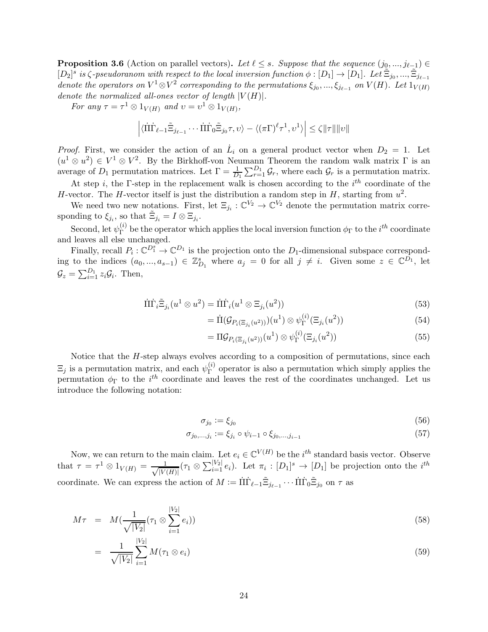**Proposition 3.6** (Action on parallel vectors). Let  $\ell \leq s$ . Suppose that the sequence  $(j_0, ..., j_{\ell-1}) \in$  $[D_2]^s$  is  $\zeta$ -pseudoranom with respect to the local inversion function  $\phi : [D_1] \to [D_1]$ . Let  $\tilde{\Xi}_{j_0},...,\tilde{\Xi}_{j_{\ell-1}}$ denote the operators on  $V^1 \otimes V^2$  corresponding to the permutations  $\xi_{j_0},...,\xi_{j_{\ell-1}}$  on  $V(H)$ . Let  $1_{V(H)}$ denote the normalized all-ones vector of length  $|V(H)|$ .

For any  $\tau = \tau^1 \otimes 1_{V(H)}$  and  $v = v^1 \otimes 1_{V(H)}$ ,

$$
\left| \langle \dot{\Pi} \dot{\Gamma}_{\ell-1} \tilde{\Xi}_{j_{\ell-1}} \cdots \dot{\Pi} \dot{\Gamma}_0 \tilde{\Xi}_{j_0} \tau, \upsilon \rangle - \langle (\pi \Gamma)^{\ell} \tau^1, \upsilon^1 \rangle \right| \leq \zeta ||\tau|| ||\upsilon||
$$

*Proof.* First, we consider the action of an  $\dot{L}_i$  on a general product vector when  $D_2 = 1$ . Let  $(u^1 \otimes u^2) \in V^1 \otimes V^2$ . By the Birkhoff-von Neumann Theorem the random walk matrix  $\Gamma$  is an average of  $D_1$  permutation matrices. Let  $\Gamma = \frac{1}{D_1} \sum_{r=1}^{D_1} \mathcal{G}_r$ , where each  $\mathcal{G}_r$  is a permutation matrix.

At step *i*, the Γ-step in the replacement walk is chosen according to the  $i<sup>th</sup>$  coordinate of the H-vector. The H-vector itself is just the distribution a random step in H, starting from  $u^2$ .

We need two new notations. First, let  $\Xi_{j_i}: \mathbb{C}^{V_2} \to \mathbb{C}^{V_2}$  denote the permutation matrix corresponding to  $\xi_{j_i}$ , so that  $\tilde{\Xi}_{j_i} = I \otimes \Xi_{j_i}$ .

Second, let  $\psi_{\Gamma}^{(i)}$ <sup>(*i*</sup>) be the operator which applies the local inversion function  $\phi_{\Gamma}$  to the *i*<sup>th</sup> coordinate and leaves all else unchanged.

Finally, recall  $P_i: \mathbb{C}^{D_1^s} \to \mathbb{C}^{D_1}$  is the projection onto the  $D_1$ -dimensional subspace corresponding to the indices  $(a_0, ..., a_{s-1}) \in \mathbb{Z}_{D_1}^s$  where  $a_j = 0$  for all  $j \neq i$ . Given some  $z \in \mathbb{C}^{D_1}$ , let  $\mathcal{G}_z = \sum_{i=1}^{D_1} z_i \mathcal{G}_i$ . Then,

$$
\dot{\Pi}\dot{\Gamma}_i\tilde{\Xi}_{j_i}(u^1 \otimes u^2) = \dot{\Pi}\dot{\Gamma}_i(u^1 \otimes \Xi_{j_i}(u^2))\tag{53}
$$

$$
= \dot{\Pi}(\mathcal{G}_{P_i(\Xi_{j_i}(u^2))})(u^1) \otimes \psi_{\Gamma}^{(i)}(\Xi_{j_i}(u^2))
$$
\n
$$
(54)
$$

$$
= \Pi \mathcal{G}_{P_i(\Xi_{j_i}(u^2))}(u^1) \otimes \psi_{\Gamma}^{(i)}(\Xi_{j_i}(u^2))
$$
\n
$$
(55)
$$

Notice that the  $H$ -step always evolves according to a composition of permutations, since each  $\Xi_j$  is a permutation matrix, and each  $\psi_{\Gamma}^{(i)}$  $\Gamma$ <sup>(*i*</sup>) operator is also a permutation which simply applies the permutation  $\phi_{\Gamma}$  to the  $i^{th}$  coordinate and leaves the rest of the coordinates unchanged. Let us introduce the following notation:

$$
\sigma_{j_0} := \xi_{j_0} \tag{56}
$$

$$
\sigma_{j_0,\dots,j_i} := \xi_{j_i} \circ \psi_{i-1} \circ \xi_{j_0,\dots,j_{i-1}} \tag{57}
$$

Now, we can return to the main claim. Let  $e_i \in \mathbb{C}^{V(H)}$  be the  $i^{th}$  standard basis vector. Observe that  $\tau = \tau^1 \otimes 1_{V(H)} = \frac{1}{\sqrt{|V|}}$  $\frac{1}{|V(H)|}(\tau_1 \otimes \sum_{i=1}^{|V_2|} e_i)$ . Let  $\pi_i : [D_1]^s \to [D_1]$  be projection onto the  $i^{th}$ coordinate. We can express the action of  $M := \Pi \dot{\Gamma}_{\ell-1} \tilde{\Xi}_{j_{\ell-1}} \cdots \Pi \dot{\Gamma}_0 \tilde{\Xi}_{j_0}$  on  $\tau$  as

$$
M\tau = M(\frac{1}{\sqrt{|V_2|}}(\tau_1 \otimes \sum_{i=1}^{|V_2|} e_i))
$$
\n(58)

$$
= \frac{1}{\sqrt{|V_2|}} \sum_{i=1}^{|V_2|} M(\tau_1 \otimes e_i) \tag{59}
$$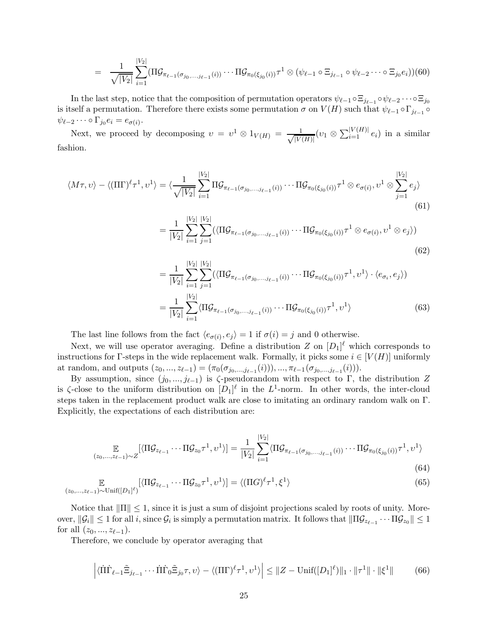$$
= \frac{1}{\sqrt{|V_2|}} \sum_{i=1}^{|V_2|} (\Pi \mathcal{G}_{\pi_{\ell-1}(\sigma_{j_0,\ldots,j_{\ell-1}}(i))} \cdots \Pi \mathcal{G}_{\pi_0(\xi_{j_0}(i))} \tau^1 \otimes (\psi_{\ell-1} \circ \Xi_{j_{\ell-1}} \circ \psi_{\ell-2} \cdots \circ \Xi_{j_0} e_i)) (60)
$$

In the last step, notice that the composition of permutation operators  $\psi_{\ell-1} \circ \Xi_{j_{\ell-1}} \circ \psi_{\ell-2} \cdots \circ \Xi_{j_0}$ is itself a permutation. Therefore there exists some permutation  $\sigma$  on  $V(H)$  such that  $\psi_{\ell-1} \circ \Gamma_{j_{\ell-1}} \circ$  $\psi_{\ell-2}\cdots\circ\Gamma_{j_0}e_i=e_{\sigma(i)}$ .

Next, we proceed by decomposing  $v = v^1 \otimes 1_{V(H)} = \frac{1}{\sqrt{|V(H)|}}$  $\frac{1}{|V(H)|}(v_1 \otimes \sum_{i=1}^{|V(H)|} e_i)$  in a similar fashion.

$$
\langle M\tau, \upsilon \rangle - \langle (\Pi \Gamma)^{\ell} \tau^{1}, \upsilon^{1} \rangle = \langle \frac{1}{\sqrt{|V_2|}} \sum_{i=1}^{|V_2|} \Pi \mathcal{G}_{\pi_{\ell-1}(\sigma_{j_0,\dots,j_{\ell-1}}(i))} \cdots \Pi \mathcal{G}_{\pi_0(\xi_{j_0}(i))} \tau^{1} \otimes e_{\sigma(i)}, \upsilon^{1} \otimes \sum_{j=1}^{|V_2|} e_j \rangle
$$
\n(61)

$$
= \frac{1}{|V_2|} \sum_{i=1}^{|V_2|} \sum_{j=1}^{|V_2|} (\langle \Pi \mathcal{G}_{\pi_{\ell-1}(\sigma_{j_0,\dots,j_{\ell-1}}(i))} \cdots \Pi \mathcal{G}_{\pi_0(\xi_{j_0}(i))} \tau^1 \otimes e_{\sigma(i)}, v^1 \otimes e_j \rangle)
$$
(62)

$$
= \frac{1}{|V_2|} \sum_{i=1}^{|V_2|} \sum_{j=1}^{|V_2|} (\langle \Pi \mathcal{G}_{\pi_{\ell-1}(\sigma_{j_0,\dots,j_{\ell-1}}(i))} \cdots \Pi \mathcal{G}_{\pi_0(\xi_{j_0}(i))} \tau^1, v^1 \rangle \cdot \langle e_{\sigma_i}, e_j \rangle)
$$
  

$$
= \frac{1}{|V_2|} \sum_{i=1}^{|V_2|} \langle \Pi \mathcal{G}_{\pi_{\ell-1}(\sigma_{j_0,\dots,j_{\ell-1}}(i))} \cdots \Pi \mathcal{G}_{\pi_0(\xi_{j_0}(i))} \tau^1, v^1 \rangle \qquad (63)
$$

The last line follows from the fact  $\langle e_{\sigma(i)}, e_j \rangle = 1$  if  $\sigma(i) = j$  and 0 otherwise.

Next, we will use operator averaging. Define a distribution  $Z$  on  $[D_1]^\ell$  which corresponds to instructions for Γ-steps in the wide replacement walk. Formally, it picks some  $i \in [V(H)]$  uniformly at random, and outputs  $(z_0, ..., z_{\ell-1}) = (\pi_0(\sigma_{j_0,...,j_{\ell-1}}(i))), ..., \pi_{\ell-1}(\sigma_{j_0,...,j_{\ell-1}}(i))).$ 

By assumption, since  $(j_0, ..., j_{\ell-1})$  is  $\zeta$ -pseudorandom with respect to Γ, the distribution Z is  $\zeta$ -close to the uniform distribution on  $[D_1]^\ell$  in the  $L^1$ -norm. In other words, the inter-cloud steps taken in the replacement product walk are close to imitating an ordinary random walk on Γ. Explicitly, the expectations of each distribution are:

$$
\mathbb{E}_{(z_0,\ldots,z_{\ell-1})\sim Z}[\langle \Pi \mathcal{G}_{z_{\ell-1}}\cdots \Pi \mathcal{G}_{z_0}\tau^1, \upsilon^1 \rangle] = \frac{1}{|V_2|} \sum_{i=1}^{|V_2|} \langle \Pi \mathcal{G}_{\pi_{\ell-1}(\sigma_{j_0,\ldots,j_{\ell-1}}(i))}\cdots \Pi \mathcal{G}_{\pi_0(\xi_{j_0}(i))}\tau^1, \upsilon^1 \rangle
$$
\n(64)

$$
\mathbb{E}_{(z_0,\ldots,z_{\ell-1})\sim\text{Unif}([D_1]^{\ell})}[\langle \Pi \mathcal{G}_{z_{\ell-1}}\cdots \Pi \mathcal{G}_{z_0}\tau^1, \upsilon^1 \rangle] = \langle (\Pi G)^{\ell} \tau^1, \xi^1 \rangle
$$
\n(65)

Notice that  $\|\Pi\| \leq 1$ , since it is just a sum of disjoint projections scaled by roots of unity. Moreover,  $\|\mathcal{G}_i\| \leq 1$  for all i, since  $\mathcal{G}_i$  is simply a permutation matrix. It follows that  $\|\Pi \mathcal{G}_{z_{\ell-1}} \cdots \Pi \mathcal{G}_{z_0}\| \leq 1$ for all  $(z_0, ..., z_{\ell-1})$ .

Therefore, we conclude by operator averaging that

$$
\left| \langle \Pi \dot{\Gamma}_{\ell-1} \tilde{\Xi}_{j_{\ell-1}} \cdots \Pi \dot{\Gamma}_0 \tilde{\Xi}_{j_0} \tau, \upsilon \rangle - \langle (\Pi \Gamma)^{\ell} \tau^1, \upsilon^1 \rangle \right| \leq ||Z - \text{Unif}([D_1]^{\ell})||_1 \cdot ||\tau^1|| \cdot ||\xi^1|| \tag{66}
$$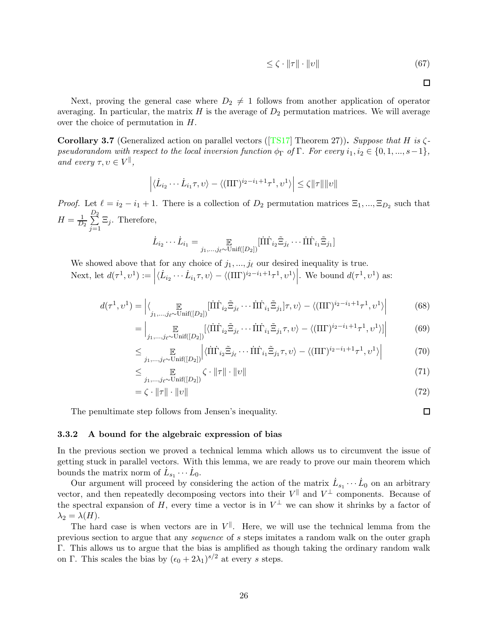$$
\leq \zeta \cdot \|\tau\| \cdot \|v\| \tag{67}
$$

 $\Box$ 

 $\Box$ 

Next, proving the general case where  $D_2 \neq 1$  follows from another application of operator averaging. In particular, the matrix  $H$  is the average of  $D_2$  permutation matrices. We will average over the choice of permutation in H.

Corollary3.7 (Generalized action on parallel vectors ([\[TS17\]](#page-37-5) Theorem 27)). Suppose that H is  $\zeta$ pseudorandom with respect to the local inversion function  $\phi_{\Gamma}$  of  $\Gamma$ . For every  $i_1, i_2 \in \{0, 1, ..., s-1\}$ , and every  $\tau, \upsilon \in V^{\parallel}$ ,

$$
\left| \langle \dot{L}_{i_2} \cdots \dot{L}_{i_1} \tau, \nu \rangle - \langle (\Pi \Gamma)^{i_2 - i_1 + 1} \tau^1, \nu^1 \rangle \right| \leq \zeta ||\tau|| ||\nu||
$$

*Proof.* Let  $\ell = i_2 - i_1 + 1$ . There is a collection of  $D_2$  permutation matrices  $\Xi_1, ..., \Xi_{D_2}$  such that  $H=\frac{1}{D}$  $rac{1}{D_2}\sum_{n=1}^{D_2}$  $j=1$  $\Xi_j$ . Therefore,

$$
\dot{L}_{i_2}\cdots\dot{L}_{i_1} = \mathop{\mathbb{E}}_{j_1,\ldots,j_\ell \sim \text{Unif}([D_2])}[\dot{\Pi}\dot{\Gamma}_{i_2}\tilde{\Xi}_{j_\ell}\cdots\dot{\Pi}\dot{\Gamma}_{i_1}\tilde{\Xi}_{j_1}]
$$

We showed above that for any choice of  $j_1, ..., j_\ell$  our desired inequality is true. Next, let  $d(\tau^1, v^1) := \left| \langle \dot{L}_{i_2} \cdots \dot{L}_{i_1} \tau, v \rangle - \langle (\Pi \Gamma)^{i_2 - i_1 + 1} \tau^1, v^1 \rangle \right|$ we bound  $d(\tau^1, \upsilon^1)$  as:

$$
d(\tau^1, \upsilon^1) = \left| \langle \mathop{\mathbb{E}}_{j_1, \dots, j_\ell \sim \text{Unif}([D_2])} [\Pi \dot{\Gamma}_{i_2} \tilde{\Xi}_{j_\ell} \cdots \Pi \dot{\Gamma}_{i_1} \tilde{\Xi}_{j_1}] \tau, \upsilon \rangle - \langle (\Pi \Gamma)^{i_2 - i_1 + 1} \tau^1, \upsilon^1 \rangle \right| \tag{68}
$$

$$
= \Big| \mathop{\mathbb{E}}_{j_1,\ldots,j_\ell \sim \text{Unif}([D_2])} [\langle \dot{\Pi} \dot{\Gamma}_{i_2} \tilde{\Xi}_{j_\ell} \cdots \dot{\Pi} \dot{\Gamma}_{i_1} \tilde{\Xi}_{j_1} \tau, \nu \rangle - \langle (\Pi \Gamma)^{i_2 - i_1 + 1} \tau^1, \nu^1 \rangle] \Big| \tag{69}
$$

$$
\leq \mathop{\mathbb{E}}_{j_1,\dots,j_\ell \sim \text{Unif}([D_2])} \left| \langle \Pi \dot{\Gamma}_{i_2} \tilde{\Xi}_{j_\ell} \cdots \Pi \dot{\Gamma}_{i_1} \tilde{\Xi}_{j_1} \tau, \nu \rangle - \langle (\Pi \Gamma)^{i_2 - i_1 + 1} \tau^1, \nu^1 \rangle \right| \tag{70}
$$

$$
\leq \mathop{\mathbb{E}}_{j_1,\ldots,j_\ell \sim \text{Unif}([D_2])} \zeta \cdot \|\tau\| \cdot \|v\| \tag{71}
$$

$$
= \zeta \cdot \|\tau\| \cdot \|v\| \tag{72}
$$

The penultimate step follows from Jensen's inequality.

# <span id="page-25-0"></span>3.3.2 A bound for the algebraic expression of bias

In the previous section we proved a technical lemma which allows us to circumvent the issue of getting stuck in parallel vectors. With this lemma, we are ready to prove our main theorem which bounds the matrix norm of  $\dot{L}_{s_1} \cdots \dot{L}_0$ .

Our argument will proceed by considering the action of the matrix  $\dot{L}_{s_1} \cdots \dot{L}_0$  on an arbitrary vector, and then repeatedly decomposing vectors into their  $V^{\parallel}$  and  $V^{\perp}$  components. Because of the spectral expansion of H, every time a vector is in  $V^{\perp}$  we can show it shrinks by a factor of  $\lambda_2 = \lambda(H)$ .

The hard case is when vectors are in  $V^{\parallel}$ . Here, we will use the technical lemma from the previous section to argue that any sequence of s steps imitates a random walk on the outer graph Γ. This allows us to argue that the bias is amplified as though taking the ordinary random walk on Γ. This scales the bias by  $(\epsilon_0 + 2\lambda_1)^{s/2}$  at every s steps.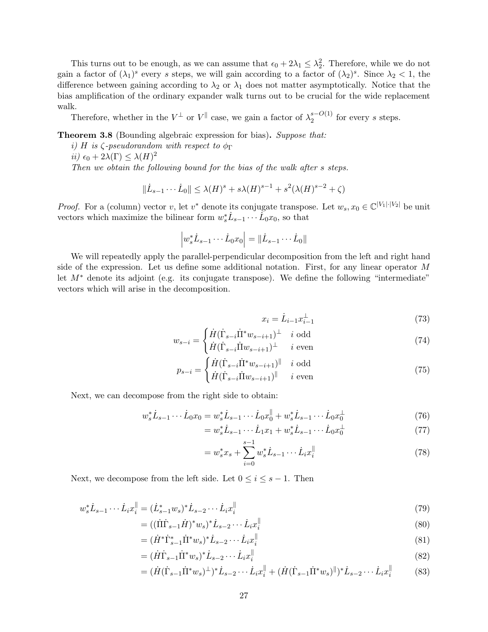This turns out to be enough, as we can assume that  $\epsilon_0 + 2\lambda_1 \leq \lambda_2^2$ . Therefore, while we do not gain a factor of  $(\lambda_1)^s$  every s steps, we will gain according to a factor of  $(\lambda_2)^s$ . Since  $\lambda_2 < 1$ , the difference between gaining according to  $\lambda_2$  or  $\lambda_1$  does not matter asymptotically. Notice that the bias amplification of the ordinary expander walk turns out to be crucial for the wide replacement walk.

Therefore, whether in the  $V^{\perp}$  or  $V^{\parallel}$  case, we gain a factor of  $\lambda_2^{s-O(1)}$  for every s steps.

Theorem 3.8 (Bounding algebraic expression for bias). Suppose that:

i) H is  $\zeta$ -pseudorandom with respect to  $\phi_{\Gamma}$ ii)  $\epsilon_0 + 2\lambda(\Gamma) \leq \lambda(H)^2$ Then we obtain the following bound for the bias of the walk after s steps.

$$
\|\dot{L}_{s-1}\cdots\dot{L}_0\| \leq \lambda(H)^s + s\lambda(H)^{s-1} + s^2(\lambda(H)^{s-2} + \zeta)
$$

*Proof.* For a (column) vector v, let  $v^*$  denote its conjugate transpose. Let  $w_s, x_0 \in \mathbb{C}^{|V_1| \cdot |V_2|}$  be unit vectors which maximize the bilinear form  $w_s^* \dot{L}_{s-1} \cdots \dot{L}_0 x_0$ , so that

$$
\left| w_s^* \dot{L}_{s-1} \cdots \dot{L}_0 x_0 \right| = \|\dot{L}_{s-1} \cdots \dot{L}_0\|
$$

We will repeatedly apply the parallel-perpendicular decomposition from the left and right hand side of the expression. Let us define some additional notation. First, for any linear operator M let  $M^*$  denote its adjoint (e.g. its conjugate transpose). We define the following "intermediate" vectors which will arise in the decomposition.

$$
x_i = \dot{L}_{i-1} x_{i-1}^{\perp} \tag{73}
$$

$$
w_{s-i} = \begin{cases} \dot{H}(\dot{\Gamma}_{s-i}\dot{\Pi}^* w_{s-i+1})^{\perp} & i \text{ odd} \\ \dot{H}(\dot{\Gamma}_{s-i}\dot{\Pi} w_{s-i+1})^{\perp} & i \text{ even} \end{cases} \tag{74}
$$

$$
p_{s-i} = \begin{cases} \dot{H}(\dot{\Gamma}_{s-i}\dot{\Pi}^* w_{s-i+1})^{\parallel} & i \text{ odd} \\ \dot{H}(\dot{\Gamma}_{s-i}\dot{\Pi} w_{s-i+1})^{\parallel} & i \text{ even} \end{cases} \tag{75}
$$

Next, we can decompose from the right side to obtain:

$$
w_s^* \dot{L}_{s-1} \cdots \dot{L}_0 x_0 = w_s^* \dot{L}_{s-1} \cdots \dot{L}_0 x_0^{\parallel} + w_s^* \dot{L}_{s-1} \cdots \dot{L}_0 x_0^{\perp}
$$
\n<sup>(76)</sup>

$$
= w_s^* \dot{L}_{s-1} \cdots \dot{L}_1 x_1 + w_s^* \dot{L}_{s-1} \cdots \dot{L}_0 x_0^\perp \tag{77}
$$

$$
= w_s^* x_s + \sum_{i=0}^{s-1} w_s^* \dot{L}_{s-1} \cdots \dot{L}_i x_i^{\parallel}
$$
\n(78)

Next, we decompose from the left side. Let  $0 \le i \le s - 1$ . Then

$$
w_s^* \dot{L}_{s-1} \cdots \dot{L}_i x_i^{\parallel} = (\dot{L}_{s-1}^* w_s)^* \dot{L}_{s-2} \cdots \dot{L}_i x_i^{\parallel}
$$
\n<sup>(79)</sup>

$$
= ((\dot{\Pi}\dot{\Gamma}_{s-1}\dot{H})^* w_s)^* \dot{L}_{s-2} \cdots \dot{L}_i x_i^{\parallel}
$$
\n(80)

$$
= (\dot{H}^* \dot{\Gamma}^*_{s-1} \dot{\Pi}^* w_s)^* \dot{L}_{s-2} \cdots \dot{L}_i x_i^{\parallel}
$$
\n(81)

$$
= (\dot{H}\dot{\Gamma}_{s-1}\dot{\Pi}^*w_s)^*\dot{L}_{s-2}\cdots\dot{L}_ix_i^{\parallel}
$$
\n
$$
(82)
$$

$$
= (\dot{H}(\dot{\Gamma}_{s-1}\dot{\Pi}^*w_s)^{\perp})^* \dot{L}_{s-2} \cdots \dot{L}_i x_i^{\parallel} + (\dot{H}(\dot{\Gamma}_{s-1}\dot{\Pi}^*w_s)^{\parallel})^* \dot{L}_{s-2} \cdots \dot{L}_i x_i^{\parallel}
$$
(83)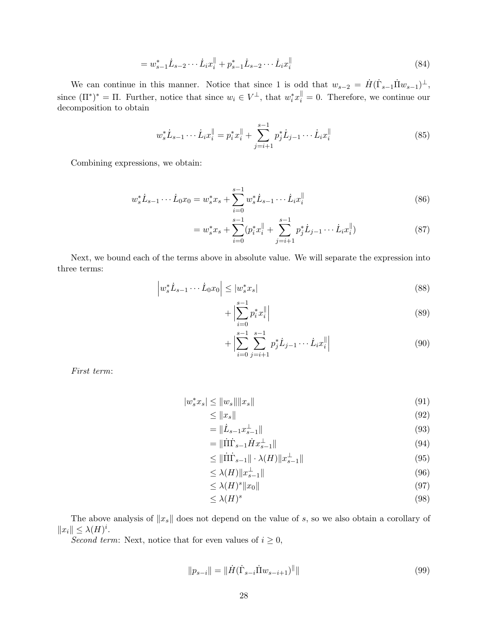$$
= w_{s-1}^* \dot{L}_{s-2} \cdots \dot{L}_i x_i^{\parallel} + p_{s-1}^* \dot{L}_{s-2} \cdots \dot{L}_i x_i^{\parallel}
$$
\n(84)

We can continue in this manner. Notice that since 1 is odd that  $w_{s-2} = \dot{H}(\dot{\Gamma}_{s-1}\dot{\Pi}w_{s-1})^{\perp}$ , since  $(\Pi^*)^* = \Pi$ . Further, notice that since  $w_i \in V^{\perp}$ , that  $w_i^* x_i^{\parallel} = 0$ . Therefore, we continue our decomposition to obtain

$$
w_s^* \dot{L}_{s-1} \cdots \dot{L}_i x_i^{\parallel} = p_i^* x_i^{\parallel} + \sum_{j=i+1}^{s-1} p_j^* \dot{L}_{j-1} \cdots \dot{L}_i x_i^{\parallel}
$$
 (85)

Combining expressions, we obtain:

$$
w_s^* \dot{L}_{s-1} \cdots \dot{L}_0 x_0 = w_s^* x_s + \sum_{i=0}^{s-1} w_s^* \dot{L}_{s-1} \cdots \dot{L}_i x_i^{\parallel}
$$
\n(86)

$$
= w_s^* x_s + \sum_{i=0}^{s-1} (p_i^* x_i^{\parallel} + \sum_{j=i+1}^{s-1} p_j^* \dot{L}_{j-1} \cdots \dot{L}_i x_i^{\parallel})
$$
(87)

Next, we bound each of the terms above in absolute value. We will separate the expression into three terms:

$$
\left| w_s^* \dot{L}_{s-1} \cdots \dot{L}_0 x_0 \right| \leq |w_s^* x_s|
$$
\n
$$
(88)
$$

$$
+\left|\sum_{i=0}^{s-1} p_i^* x_i^* \right| \tag{89}
$$

$$
+ \Big| \sum_{i=0}^{s-1} \sum_{j=i+1}^{s-1} p_j^* \dot{L}_{j-1} \cdots \dot{L}_i x_i^{\parallel} \Big| \tag{90}
$$

First term:

$$
|w_s^* x_s| \le ||w_s|| \|x_s\| \tag{91}
$$

$$
\leq \|x_s\| \tag{92}
$$

$$
= \|\dot{L}_{s-1}x_{s-1}^{\perp}\|
$$
\n(93)

$$
= \|\dot{\Pi}\dot{\Gamma}_{s-1}\dot{H}x_{s-1}^{\perp}\| \tag{94}
$$

$$
\leq \|\dot{\Pi}\dot{\Gamma}_{s-1}\| \cdot \lambda(H)\|x_{s-1}^{\perp}\| \tag{95}
$$

$$
\leq \lambda(H) \|x_{s-1}^{\perp}\| \tag{96}
$$

$$
\leq \lambda(H)^s \|x_0\| \tag{97}
$$

$$
\leq \lambda(H)^s \tag{98}
$$

The above analysis of  $||x_s||$  does not depend on the value of s, so we also obtain a corollary of  $||x_i|| \leq \lambda(H)^i$ .

Second term: Next, notice that for even values of  $i \geq 0$ ,

$$
||p_{s-i}|| = ||\dot{H}(\dot{\Gamma}_{s-i}\dot{\Pi}w_{s-i+1})^{\parallel}|| \tag{99}
$$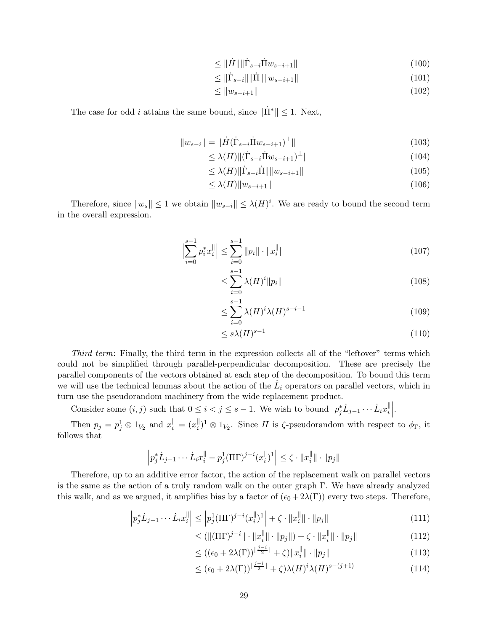$$
\leq \|\dot{H}\| \|\dot{\Gamma}_{s-i}\dot{\Pi}w_{s-i+1}\| \tag{100}
$$

$$
\leq \|\dot{\Gamma}_{s-i}\| \|\dot{\Pi}\| \|w_{s-i+1}\| \tag{101}
$$

$$
\leq \|w_{s-i+1}\| \tag{102}
$$

The case for odd *i* attains the same bound, since  $\|\Pi^*\| \leq 1$ . Next,

$$
||w_{s-i}|| = ||\dot{H}(\dot{\Gamma}_{s-i}\dot{\Pi}w_{s-i+1})^{\perp}|| \tag{103}
$$

$$
\leq \lambda(H) \|\left(\dot{\Gamma}_{s-i}\dot{\Pi}w_{s-i+1}\right)^{\perp}\| \tag{104}
$$

$$
\leq \lambda(H) \|\dot{\Gamma}_{s-i}\dot{\Pi}\| \|w_{s-i+1}\| \tag{105}
$$

$$
\leq \lambda(H) \|w_{s-i+1}\| \tag{106}
$$

Therefore, since  $||w_s|| \leq 1$  we obtain  $||w_{s-i}|| \leq \lambda(H)^i$ . We are ready to bound the second term in the overall expression.

$$
\left| \sum_{i=0}^{s-1} p_i^* x_i^{\parallel} \right| \le \sum_{i=0}^{s-1} \| p_i \| \cdot \| x_i^{\parallel} \| \tag{107}
$$

$$
\leq \sum_{i=0}^{s-1} \lambda(H)^i \|p_i\| \tag{108}
$$

$$
\leq \sum_{i=0}^{s-1} \lambda(H)^i \lambda(H)^{s-i-1} \tag{109}
$$

$$
\leq s\lambda(H)^{s-1} \tag{110}
$$

Third term: Finally, the third term in the expression collects all of the "leftover" terms which could not be simplified through parallel-perpendicular decomposition. These are precisely the parallel components of the vectors obtained at each step of the decomposition. To bound this term we will use the technical lemmas about the action of the  $\dot{L}_i$  operators on parallel vectors, which in turn use the pseudorandom machinery from the wide replacement product.

Consider some  $(i, j)$  such that  $0 \leq i < j \leq s - 1$ . We wish to bound  $\left| p_j^* \dot{L}_{j-1} \cdots \dot{L}_i x_i^{\parallel} \right|$   .

Then  $p_j = p_j^1 \otimes 1_{V_2}$  and  $x_i^{\parallel} = (x_i^{\parallel})^1 \otimes 1_{V_2}$ . Since H is  $\zeta$ -pseudorandom with respect to  $\phi_{\Gamma}$ , it follows that

$$
\left| p_j^* \dot{L}_{j-1} \cdots \dot{L}_i x_i^{\parallel} - p_j^1 (\Pi \Gamma)^{j-i} (x_i^{\parallel})^1 \right| \leq \zeta \cdot ||x_i^{\parallel}|| \cdot ||p_j||
$$

Therefore, up to an additive error factor, the action of the replacement walk on parallel vectors is the same as the action of a truly random walk on the outer graph Γ. We have already analyzed this walk, and as we argued, it amplifies bias by a factor of  $(\epsilon_0 + 2\lambda(\Gamma))$  every two steps. Therefore,

$$
\left| p_j^* \dot{L}_{j-1} \cdots \dot{L}_i x_i^{\parallel} \right| \le \left| p_j^1 (\Pi \Gamma)^{j-i} (x_i^{\parallel})^1 \right| + \zeta \cdot \| x_i^{\parallel} \| \cdot \| p_j \| \tag{111}
$$

$$
\leq (\|( \Pi \Gamma)^{j-i} \| \cdot \| x_i^{\|} \| \cdot \| p_j \| ) + \zeta \cdot \| x_i^{\|} \| \cdot \| p_j \|
$$
\n(112)

$$
\leq ((\epsilon_0 + 2\lambda(\Gamma))^{\lfloor \frac{\nu - 1}{2} \rfloor} + \zeta) \|x_i^{\parallel}\| \cdot \|p_j\| \tag{113}
$$

$$
\leq (\epsilon_0 + 2\lambda(\Gamma))^{\lfloor \frac{j-i}{2} \rfloor} + \zeta \lambda(H)^i \lambda(H)^{s-(j+1)} \tag{114}
$$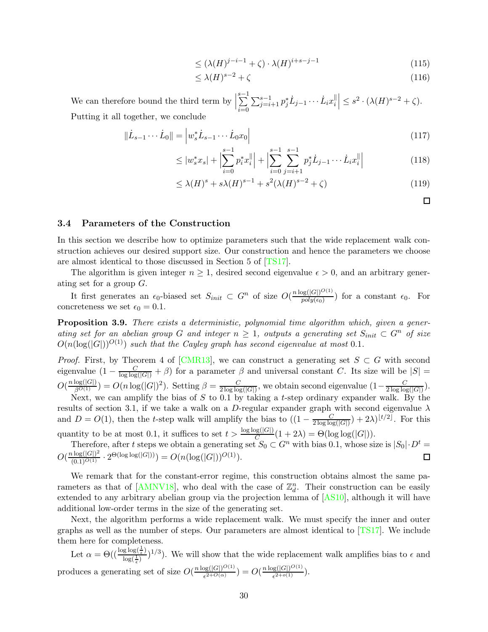$$
\leq (\lambda(H)^{j-i-1} + \zeta) \cdot \lambda(H)^{i+s-j-1} \tag{115}
$$

$$
\leq \lambda(H)^{s-2} + \zeta \tag{116}
$$

We can therefore bound the third term by  $\Big|$  $\sum_{i=1}^{s-1}$  $i=0$  $\sum_{j=i+1}^{s-1} p_j^* \dot{L}_{j-1} \cdots \dot{L}_i x_i^{\|}$  $\Big| \leq s^2 \cdot (\lambda(H)^{s-2} + \zeta).$ Putting it all together, we conclude

$$
\|\dot{L}_{s-1}\cdots\dot{L}_0\| = \left|w_s^*\dot{L}_{s-1}\cdots\dot{L}_0x_0\right|
$$
\n(117)

$$
\leq |w_s^*x_s| + \left|\sum_{i=0}^{s-1} p_i^*x_i^{\parallel}\right| + \left|\sum_{i=0}^{s-1} \sum_{j=i+1}^{s-1} p_j^* \dot{L}_{j-1} \cdots \dot{L}_i x_i^{\parallel}\right| \tag{118}
$$

$$
\leq \lambda(H)^s + s\lambda(H)^{s-1} + s^2(\lambda(H)^{s-2} + \zeta)
$$
\n(119)

 $\Box$ 

# <span id="page-29-0"></span>3.4 Parameters of the Construction

In this section we describe how to optimize parameters such that the wide replacement walk construction achieves our desired support size. Our construction and hence the parameters we choose are almost identical to those discussed in Section 5 of [\[TS17\]](#page-37-5).

The algorithm is given integer  $n \geq 1$ , desired second eigenvalue  $\epsilon > 0$ , and an arbitrary generating set for a group G.

It first generates an  $\epsilon_0$ -biased set  $S_{init} \subset G^n$  of size  $O(\frac{n \log(|G|)^{O(1)}}{poly(\epsilon_0)})$  for a constant  $\epsilon_0$ . For concreteness we set  $\epsilon_0 = 0.1$ .

Proposition 3.9. There exists a deterministic, polynomial time algorithm which, given a generating set for an abelian group G and integer  $n \geq 1$ , outputs a generating set  $S_{init} \subset G^n$  of size  $O(n(\log(|G|))^{O(1)})$  such that the Cayley graph has second eigenvalue at most 0.1.

*Proof.* First, by Theorem 4 of [\[CMR13\]](#page-36-1), we can construct a generating set  $S \subset G$  with second eigenvalue  $(1 - \frac{C}{\log \log(|G|)} + \beta)$  for a parameter  $\beta$  and universal constant C. Its size will be  $|S| =$  $O(\frac{n \log(|G|)}{\beta^{O(1)}}) = O(n \log(|G|)^2)$ . Setting  $\beta = \frac{C}{2 \log \log n}$  $\frac{C}{2 \log \log(|G|)}$ , we obtain second eigenvalue  $\left(1 - \frac{C}{2 \log \log \log |G|}\right)$  $\frac{C}{2\log\log(|G|)}$ ).

Next, we can amplify the bias of  $S$  to 0.1 by taking a t-step ordinary expander walk. By the results of section 3.1, if we take a walk on a D-regular expander graph with second eigenvalue  $\lambda$ and  $D = O(1)$ , then the t-step walk will amplify the bias to  $((1 - \frac{C}{2 \log \log n})$  $\frac{C}{2\log\log(|G|)}$  + 2 $\lambda$ )<sup>[t/2]</sup>. For this quantity to be at most 0.1, it suffices to set  $t > \frac{\log \log(|G|)}{C} (1 + 2\lambda) = \Theta(\log \log(|G|)).$ 

Therefore, after t steps we obtain a generating set  $S_0 \subset G^n$  with bias 0.1, whose size is  $|S_0| \cdot D^t =$  $O(\frac{n \log(|G|)^2}{(0.1)^{O(1)}} \cdot 2^{\Theta(\log \log(|G|))}) = O(n(\log(|G|))^{O(1)}).$  $\Box$ 

We remark that for the constant-error regime, this construction obtains almost the same pa-rameters as that of [\[AMNV18\]](#page-35-7), who deal with the case of  $\mathbb{Z}_d^n$ . Their construction can be easily extended to any arbitrary abelian group via the projection lemma of [\[AS10\]](#page-35-6), although it will have additional low-order terms in the size of the generating set.

Next, the algorithm performs a wide replacement walk. We must specify the inner and outer graphs as well as the number of steps. Our parameters are almost identical to [\[TS17\]](#page-37-5). We include them here for completeness.

Let  $\alpha = \Theta((\frac{\log \log(\frac{1}{\epsilon})}{\log(1)})$  $\frac{g \log(\frac{1}{\epsilon})}{\log(\frac{1}{\epsilon})}$ <sup>1/3</sup>). We will show that the wide replacement walk amplifies bias to  $\epsilon$  and ǫ produces a generating set of size  $O(\frac{n \log(|G|)^{O(1)}}{\epsilon^{2+O(\alpha)}}) = O(\frac{n \log(|G|)^{O(1)}}{\epsilon^{2+o(1)}}).$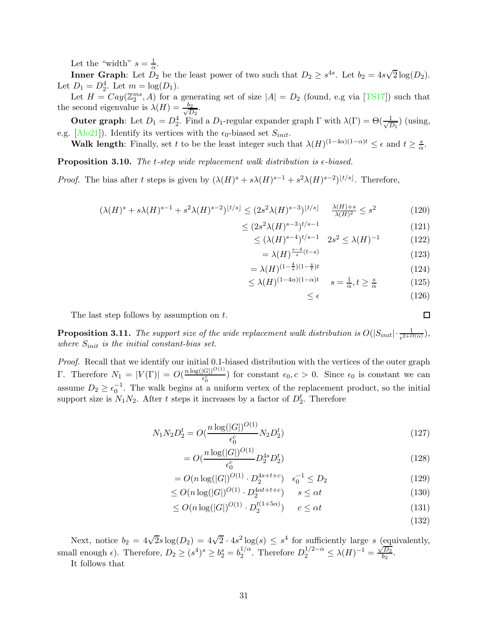Let the "width"  $s = \frac{1}{\alpha}$ .

**Inner Graph**: Let  $D_2$  be the least power of two such that  $D_2 \geq s^{4s}$ . Let  $b_2 = 4s\sqrt{2}\log(D_2)$ . Let  $D_1 = D_2^4$ . Let  $m = \log(D_1)$ .

Let  $H = Cay(\mathbb{Z}_2^{ms}, A)$  for a generating set of size  $|A| = D_2$  (found, e.g via [\[TS17\]](#page-37-5)) such that the second eigenvalue is  $\lambda(H) = \frac{b_2}{\sqrt{L}}$  $\overline{D_2}$ .

**Outer graph**: Let  $D_1 = D_2^4$ . Find a  $D_1$ -regular expander graph  $\Gamma$  with  $\lambda(\Gamma) = \Theta(\frac{1}{\sqrt{\Gamma}})$  $\frac{1}{D_1}$ ) (using, e.g.  $[A\text{lo21}]$ . Identify its vertices with the  $\epsilon_0$ -biased set  $S_{init}$ .

**Walk length:** Finally, set t to be the least integer such that  $\lambda(H)^{(1-4\alpha)(1-\alpha)t} \leq \epsilon$  and  $t \geq \frac{s}{\alpha}$  $\frac{s}{\alpha}$ .

**Proposition 3.10.** The t-step wide replacement walk distribution is  $\epsilon$ -biased.

*Proof.* The bias after t steps is given by  $(\lambda(H)^s + s\lambda(H)^{s-1} + s^2\lambda(H)^{s-2})^{\lfloor t/s \rfloor}$ . Therefore,

$$
(\lambda(H)^s + s\lambda(H)^{s-1} + s^2\lambda(H)^{s-2})^{\lfloor t/s \rfloor} \le (2s^2\lambda(H)^{s-3})^{\lfloor t/s \rfloor} \quad \frac{\lambda(H) + s}{\lambda(H)^2} \le s^2
$$
 (120)

$$
\leq (2s^2 \lambda(H)^{s-3})^{t/s-1} \tag{121}
$$

$$
\leq (\lambda(H)^{s-4})^{t/s-1} \quad 2s^2 \leq \lambda(H)^{-1} \tag{122}
$$

$$
=\lambda(H)^{\frac{s-4}{s}(t-s)}\tag{123}
$$

$$
= \lambda(H)^{(1 - \frac{4}{s})(1 - \frac{s}{t})t} \tag{124}
$$

$$
\leq \lambda(H)^{(1-4\alpha)(1-\alpha)t} \quad s = \frac{1}{\alpha}, t \geq \frac{s}{\alpha} \tag{125}
$$

$$
\leq \epsilon \tag{126}
$$

The last step follows by assumption on t.

**Proposition 3.11.** The support size of the wide replacement walk distribution is  $O(|S_{init}| \cdot \frac{1}{\epsilon^{2+O(\alpha)}})$ , where  $S_{init}$  is the initial constant-bias set.

Proof. Recall that we identify our initial 0.1-biased distribution with the vertices of the outer graph Γ. Therefore  $N_1 = |V(\Gamma)| = O(\frac{n \log(|G|)^{O(1)}}{\epsilon_0^c})$  for constant  $\epsilon_0, c > 0$ . Since  $\epsilon_0$  is constant we can assume  $D_2 \geq \epsilon_0^{-1}$ . The walk begins at a uniform vertex of the replacement product, so the initial support size is  $N_1N_2$ . After t steps it increases by a factor of  $D_2^t$ . Therefore

$$
N_1 N_2 D_2^t = O(\frac{n \log(|G|)^{O(1)}}{\epsilon_0^c} N_2 D_2^t)
$$
\n(127)

$$
=O(\frac{n\log(|G|)^{O(1)}}{\epsilon_6^c}D_2^{4s}D_2^t)
$$
\n(128)

$$
= O(n\log(|G|)^{O(1)} \cdot D_2^{4s+t+c}) \quad \epsilon_0^{-1} \le D_2 \tag{129}
$$

$$
\leq O(n\log(|G|)^{O(1)} \cdot D_2^{4\alpha t + t + c}) \qquad s \leq \alpha t \tag{130}
$$

$$
\leq O(n\log(|G|)^{O(1)} \cdot D_2^{t(1+5\alpha)}) \qquad c \leq \alpha t \tag{131}
$$

(132)

 $\Box$ 

Next, notice  $b_2 = 4\sqrt{2}s \log(D_2) = 4\sqrt{2} \cdot 4s^2 \log(s) \leq s^4$  for sufficiently large s (equivalently, small enough  $\epsilon$ ). Therefore,  $D_2 \ge (s^4)^s \ge b_2^s = b_2^{1/\alpha}$  $\frac{1}{2}^{1/\alpha}$ . Therefore  $D_2^{1/2-\alpha} \leq \lambda(H)^{-1} = \frac{\sqrt{D_2}}{b_2}$  $rac{D_2}{b_2}$ . It follows that

31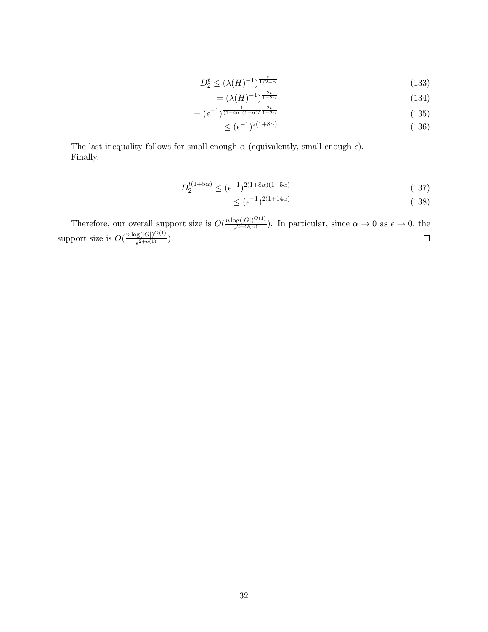$$
D_2^t \le (\lambda(H)^{-1})^{\frac{t}{1/2-\alpha}} \tag{133}
$$

$$
= (\lambda(H)^{-1})^{\frac{2t}{1-2\alpha}}
$$
\n(134)

$$
= \left(\epsilon^{-1}\right)^{\frac{1}{\left(1-4\alpha\right)\left(1-\alpha\right)t} \frac{2t}{1-2\alpha}} \tag{135}
$$

$$
\leq (\epsilon^{-1})^{2(1+8\alpha)} \tag{136}
$$

The last inequality follows for small enough  $\alpha$  (equivalently, small enough  $\epsilon$ ). Finally,

$$
D_2^{t(1+5\alpha)} \le (\epsilon^{-1})^{2(1+8\alpha)(1+5\alpha)}\tag{137}
$$

$$
\leq (\epsilon^{-1})^{2(1+14\alpha)} \tag{138}
$$

Therefore, our overall support size is  $O(\frac{n \log(|G|)^{O(1)}}{c^{2+O(\alpha)}})$  $\frac{\log(|G|)^{-\gamma}}{\epsilon^{2+O(\alpha)}}$ ). In particular, since  $\alpha \to 0$  as  $\epsilon \to 0$ , the support size is  $O(\frac{n \log(|G|)^{O(1)}}{\epsilon^{2+o(1)}})$ .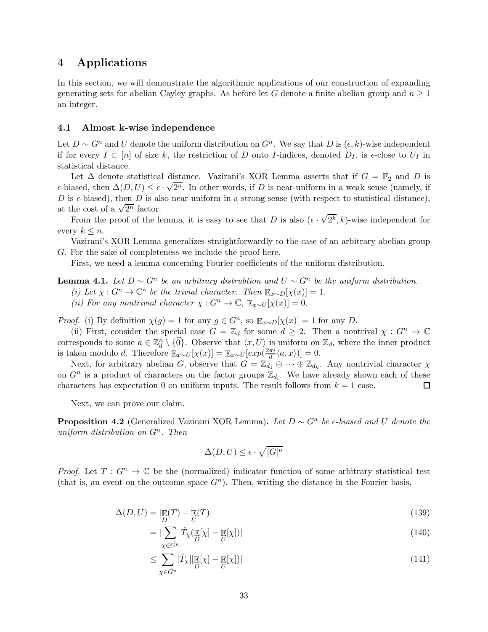# <span id="page-32-0"></span>4 Applications

In this section, we will demonstrate the algorithmic applications of our construction of expanding generating sets for abelian Cayley graphs. As before let G denote a finite abelian group and  $n \geq 1$ an integer.

## <span id="page-32-1"></span>4.1 Almost k-wise independence

Let  $D \sim G^n$  and U denote the uniform distribution on  $G^n$ . We say that D is  $(\epsilon, k)$ -wise independent if for every  $I \subset [n]$  of size k, the restriction of D onto I-indices, denoted  $D_I$ , is  $\epsilon$ -close to  $U_I$  in statistical distance.

Let  $\Delta$  denote statistical distance. Vazirani's XOR Lemma asserts that if  $G = \mathbb{F}_2$  and D is  $\epsilon$ -biased, then  $\Delta(D, U) \leq \epsilon \cdot \sqrt{2^n}$ . In other words, if D is near-uniform in a weak sense (namely, if D is  $\epsilon$ -biased), then D is also near-uniform in a strong sense (with respect to statistical distance), at the cost of a  $\sqrt{2^n}$  factor.

From the proof of the lemma, it is easy to see that D is also  $(\epsilon \cdot \sqrt{2^k}, k)$ -wise independent for every  $k \leq n$ .

Vazirani's XOR Lemma generalizes straightforwardly to the case of an arbitrary abelian group G. For the sake of completeness we include the proof here.

First, we need a lemma concerning Fourier coefficients of the uniform distribution.

**Lemma 4.1.** Let  $D \sim G^n$  be an arbitrary distrubtion and  $U \sim G^n$  be the uniform distribution.

- (i) Let  $\chi: G^n \to \mathbb{C}^*$  be the trivial character. Then  $\mathbb{E}_{x \sim D}[\chi(x)] = 1$ .
- (ii) For any nontrivial character  $\chi: G^n \to \mathbb{C}, \mathbb{E}_{x \sim U}[\chi(x)] = 0.$

*Proof.* (i) By definition  $\chi(g) = 1$  for any  $g \in G^n$ , so  $\mathbb{E}_{x \sim D}[\chi(x)] = 1$  for any D.

(ii) First, consider the special case  $G = \mathbb{Z}_d$  for some  $d \geq 2$ . Then a nontrival  $\chi : G^n \to \mathbb{C}$ corresponds to some  $a \in \mathbb{Z}_d^n \setminus \{0\}$ . Observe that  $\langle x, U \rangle$  is uniform on  $\mathbb{Z}_d$ , where the inner product is taken modulo d. Therefore  $\mathbb{E}_{x \sim U}[\chi(x)] = \mathbb{E}_{x \sim U}[exp(\frac{2\pi i}{d})]$  $\frac{\pi i}{d} \langle a, x \rangle$ ] = 0.

Next, for arbitrary abelian G, observe that  $G = \mathbb{Z}_{d_1} \oplus \cdots \oplus \mathbb{Z}_{d_k}$ . Any nontrivial character  $\chi$ on  $G<sup>n</sup>$  is a product of characters on the factor groups  $\mathbb{Z}_{d_i}$ . We have already shown each of these characters has expectation 0 on uniform inputs. The result follows from  $k = 1$  case.  $\Box$ 

Next, we can prove our claim.

**Proposition 4.2** (Generalized Vazirani XOR Lemma). Let  $D \sim G^n$  be  $\epsilon$ -biased and U denote the  $uniform\ distribution\ on\ G^n$ . Then

$$
\Delta(D, U) \le \epsilon \cdot \sqrt{|G|^n}
$$

*Proof.* Let  $T: G^n \to \mathbb{C}$  be the (normalized) indicator function of some arbitrary statistical test (that is, an event on the outcome space  $G<sup>n</sup>$ ). Then, writing the distance in the Fourier basis,

$$
\Delta(D, U) = |\mathop{\mathbb{E}}_{D}(T) - \mathop{\mathbb{E}}_{U}(T)| \tag{139}
$$

$$
=|\sum_{\chi \in \hat{G}^n} \hat{T}_{\chi}(\mathop{\mathbb{E}}_{D}[\chi] - \mathop{\mathbb{E}}_{U}[\chi])|
$$
\n(140)

$$
\leq \sum_{\chi \in \hat{G}^n} |\hat{T}_{\chi}| |\mathop{\mathbb{E}}_{D}[\chi] - \mathop{\mathbb{E}}_{U}[\chi])| \tag{141}
$$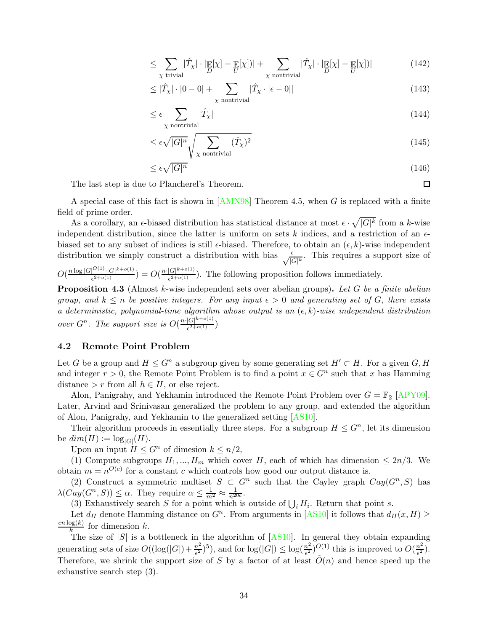$$
\leq \sum_{\chi \text{ trivial}} |\hat{T}_{\chi}| \cdot |\mathop{\mathbb{E}}_{D}[\chi] - \mathop{\mathbb{E}}_{U}[\chi])| + \sum_{\chi \text{ nontrivial}} |\hat{T}_{\chi}| \cdot |\mathop{\mathbb{E}}_{D}[\chi] - \mathop{\mathbb{E}}_{U}[\chi])| \tag{142}
$$

$$
\leq |\hat{T}_{\chi}| \cdot |0 - 0| + \sum_{\chi \text{ nontrivial}} |\hat{T}_{\chi} \cdot |\epsilon - 0| \tag{143}
$$

$$
\leq \epsilon \sum_{\chi \text{ nontrivial}} |\hat{T}_{\chi}| \tag{144}
$$

$$
\leq \epsilon \sqrt{|G|^n} \sqrt{\sum_{\chi \text{ nontrivial}} (\hat{T}_{\chi})^2} \tag{145}
$$

$$
\leq \epsilon \sqrt{|G|^n} \tag{146}
$$

 $\Box$ 

The last step is due to Plancherel's Theorem.

A special case of this fact is shown in [\[AMN98\]](#page-35-5) Theorem 4.5, when G is replaced with a finite field of prime order.

As a corollary, an  $\epsilon$ -biased distribution has statistical distance at most  $\epsilon \cdot \sqrt{|G|^k}$  from a k-wise independent distribution, since the latter is uniform on sets k indices, and a restriction of an  $\epsilon$ biased set to any subset of indices is still  $\epsilon$ -biased. Therefore, to obtain an  $(\epsilon, k)$ -wise independent distribution we simply construct a distribution with bias  $\frac{\epsilon}{\sqrt{|G|^k}}$ . This requires a support size of

$$
O(\frac{n \log |G|^{O(1)} \cdot |G|^{k+o(1)}}{\epsilon^{2+o(1)}}) = O(\frac{n \cdot |G|^{k+o(1)}}{\epsilon^{2+o(1)}}). \text{ The following proposition follows immediately.}
$$

**Proposition 4.3** (Almost k-wise independent sets over abelian groups). Let G be a finite abelian group, and  $k \leq n$  be positive integers. For any input  $\epsilon > 0$  and generating set of G, there exists a deterministic, polynomial-time algorithm whose output is an  $(\epsilon, k)$ -wise independent distribution over  $G^n$ . The support size is  $O(\frac{n \cdot |G|^{k+o(1)}}{c^{2+o(1)}})$  $rac{|G|^{(1+\epsilon)(-)}}{\epsilon^{2+o(1)}}$ 

# <span id="page-33-0"></span>4.2 Remote Point Problem

Let G be a group and  $H \leq G^n$  a subgroup given by some generating set  $H' \subset H$ . For a given G, H and integer  $r > 0$ , the Remote Point Problem is to find a point  $x \in G<sup>n</sup>$  such that x has Hamming distance > r from all  $h \in H$ , or else reject.

Alon, Panigrahy, and Yekhamin introduced the Remote Point Problem over  $G = \mathbb{F}_2$  [\[APY09\]](#page-35-9). Later, Arvind and Srinivasan generalized the problem to any group, and extended the algorithm of Alon, Panigrahy, and Yekhamin to the generalized setting [\[AS10\]](#page-35-6).

Their algorithm proceeds in essentially three steps. For a subgroup  $H \leq G<sup>n</sup>$ , let its dimension be  $dim(H) := \log_{|G|}(H)$ .

Upon an input  $H \leq G^n$  of dimesion  $k \leq n/2$ ,

(1) Compute subgroups  $H_1, ..., H_m$  which cover H, each of which has dimension  $\leq 2n/3$ . We obtain  $m = n^{O(c)}$  for a constant c which controls how good our output distance is.

(2) Construct a symmetric multiset  $S \subset G^n$  such that the Cayley graph  $Cay(G^n, S)$  has  $\lambda(Cay(G^n, S)) \leq \alpha$ . They require  $\alpha \leq \frac{1}{m^2} \approx \frac{1}{n^{20c}}$ .

(3) Exhaustively search S for a point which is outside of  $\bigcup_i H_i$ . Return that point s.

Let  $d_H$  denote Hamming distance on  $G^n$ . From arguments in [\[AS10\]](#page-35-6) it follows that  $d_H(x, H) \ge$  $cn\log(k)$  $\frac{\log(k)}{k}$  for dimension k.

The size of  $|S|$  is a bottleneck in the algorithm of [\[AS10\]](#page-35-6). In general they obtain expanding generating sets of size  $O((\log(|G|)+\frac{n^2}{\epsilon^2}))$  $\frac{n^2}{\epsilon^2}$ )<sup>5</sup>), and for  $\log(|G|) \leq \log(\frac{n^2}{\epsilon^2})$  $\frac{(n^2)^{O(1)}}{\epsilon^2}$  this is improved to  $O(\frac{n^2}{\epsilon^2})$  $\frac{n^2}{\epsilon^2}$ ). Therefore, we shrink the support size of S by a factor of at least  $\tilde{O}(n)$  and hence speed up the exhaustive search step (3).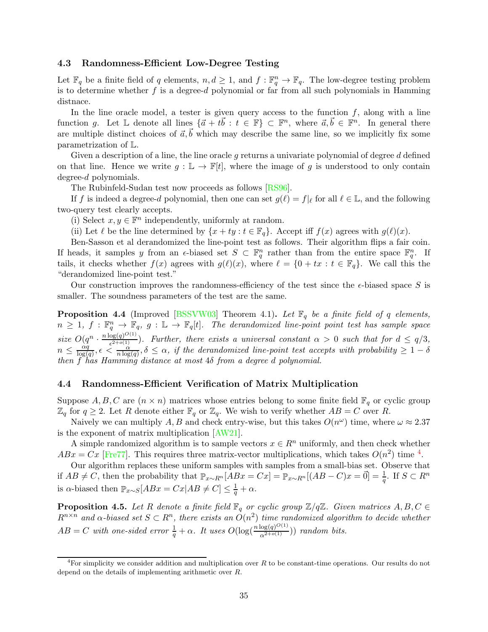## <span id="page-34-0"></span>4.3 Randomness-Efficient Low-Degree Testing

Let  $\mathbb{F}_q$  be a finite field of q elements,  $n, d \geq 1$ , and  $f : \mathbb{F}_q^n \to \mathbb{F}_q$ . The low-degree testing problem is to determine whether  $f$  is a degree- $d$  polynomial or far from all such polynomials in Hamming distnace.

In the line oracle model, a tester is given query access to the function  $f$ , along with a line function g. Let  $\mathbb{L}$  denote all lines  $\{\vec{a} + t\vec{b} : t \in \mathbb{F}\}\subset \mathbb{F}^n$ , where  $\vec{a}, \vec{b} \in \mathbb{F}^n$ . In general there are multiple distinct choices of  $\vec{a}, \vec{b}$  which may describe the same line, so we implicitly fix some parametrization of L.

Given a description of a line, the line oracle q returns a univariate polynomial of degree  $d$  defined on that line. Hence we write  $g: \mathbb{L} \to \mathbb{F}[t]$ , where the image of g is understood to only contain degree-d polynomials.

The Rubinfeld-Sudan test now proceeds as follows [\[RS96\]](#page-37-7).

If f is indeed a degree-d polynomial, then one can set  $g(\ell) = f |_{\ell}$  for all  $\ell \in \mathbb{L}$ , and the following two-query test clearly accepts.

(i) Select  $x, y \in \mathbb{F}^n$  independently, uniformly at random.

(ii) Let  $\ell$  be the line determined by  $\{x + ty : t \in \mathbb{F}_q\}$ . Accept iff  $f(x)$  agrees with  $g(\ell)(x)$ .

Ben-Sasson et al derandomized the line-point test as follows. Their algorithm flips a fair coin. If heads, it samples y from an  $\epsilon$ -biased set  $S \subset \mathbb{F}_q^n$  rather than from the entire space  $\mathbb{F}_q^n$ . If tails, it checks whether  $f(x)$  agrees with  $g(\ell)(x)$ , where  $\ell = \{0 + tx : t \in \mathbb{F}_q\}$ . We call this the "derandomized line-point test."

Our construction improves the randomness-efficiency of the test since the  $\epsilon$ -biased space S is smaller. The soundness parameters of the test are the same.

**Proposition 4.4** (Improved [\[BSSVW03\]](#page-36-7) Theorem 4.1). Let  $\mathbb{F}_q$  be a finite field of q elements,  $n \geq 1$ ,  $f : \mathbb{F}_q^n \to \mathbb{F}_q$ ,  $g : \mathbb{L} \to \mathbb{F}_q[t]$ . The derandomized line-point point test has sample space size  $O(q^n \cdot \frac{n \log(q)^{O(1)}}{\epsilon^{2+o(1)}})$  $\frac{\log(q)^{1-\epsilon}}{\epsilon^{2+o(1)}}$ ). Further, there exists a universal constant  $\alpha > 0$  such that for  $d \leq q/3$ ,  $n \leq \frac{\alpha q}{\log(a)}$  $\frac{\alpha q}{\log(q)}$ ,  $\epsilon < \frac{\alpha}{n \log(q)}$ ,  $\delta \leq \alpha$ , if the derandomized line-point test accepts with probability  $\geq 1-\delta$ then  $f$  has Hamming distance at most 4 $\delta$  from a degree d polynomial.

# <span id="page-34-1"></span>4.4 Randomness-Efficient Verification of Matrix Multiplication

Suppose A, B, C are  $(n \times n)$  matrices whose entries belong to some finite field  $\mathbb{F}_q$  or cyclic group  $\mathbb{Z}_q$  for  $q \geq 2$ . Let R denote either  $\mathbb{F}_q$  or  $\mathbb{Z}_q$ . We wish to verify whether  $AB = C$  over R.

Naively we can multiply A, B and check entry-wise, but this takes  $O(n^{\omega})$  time, where  $\omega \approx 2.37$ is the exponent of matrix multiplication [\[AW21\]](#page-35-11).

A simple randomized algorithm is to sample vectors  $x \in R^n$  uniformly, and then check whether  $ABx = Cx$  [\[Fre77\]](#page-36-8). This requires three matrix-vector multiplications, which takes  $O(n^2)$  time <sup>[4](#page-34-2)</sup>.

Our algorithm replaces these uniform samples with samples from a small-bias set. Observe that if  $AB \neq C$ , then the probability that  $\mathbb{P}_{x \sim R^n}[ABx = Cx] = \mathbb{P}_{x \sim R^n}[(AB - C)x = \vec{0}] = \frac{1}{q}$ . If  $S \subset R^n$ is  $\alpha$ -biased then  $\mathbb{P}_{x \sim S}[ABx = Cx|AB \neq C] \le \frac{1}{q} + \alpha$ .

**Proposition 4.5.** Let R denote a finite field  $\mathbb{F}_q$  or cyclic group  $\mathbb{Z}/q\mathbb{Z}$ . Given matrices  $A, B, C \in$  $R^{n\times n}$  and  $\alpha$ -biased set  $S\subset R^n$ , there exists an  $O(n^2)$  time randomized algorithm to decide whether  $AB = C$  with one-sided error  $\frac{1}{q} + \alpha$ . It uses  $O(\log(\frac{n \log(q)^{O(1)}}{\alpha^{2+o(1)}}))$  random bits.

<span id="page-34-2"></span><sup>&</sup>lt;sup>4</sup>For simplicity we consider addition and multiplication over R to be constant-time operations. Our results do not depend on the details of implementing arithmetic over R.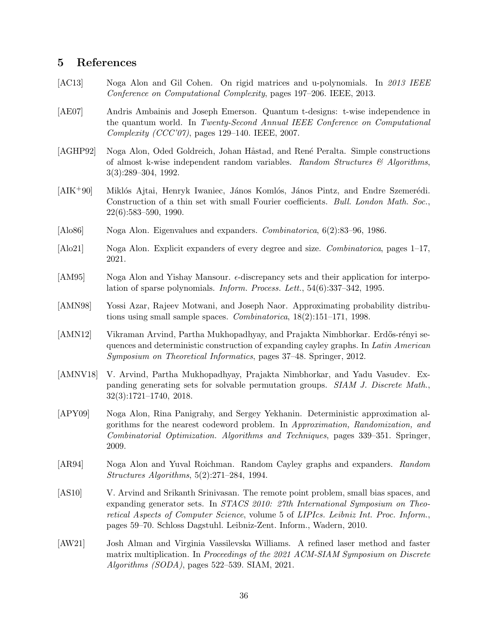# <span id="page-35-0"></span>5 References

- <span id="page-35-10"></span>[AC13] Noga Alon and Gil Cohen. On rigid matrices and u-polynomials. In 2013 IEEE Conference on Computational Complexity, pages 197–206. IEEE, 2013.
- <span id="page-35-8"></span>[AE07] Andris Ambainis and Joseph Emerson. Quantum t-designs: t-wise independence in the quantum world. In Twenty-Second Annual IEEE Conference on Computational Complexity (CCC'07), pages 129–140. IEEE, 2007.
- <span id="page-35-2"></span>[AGHP92] Noga Alon, Oded Goldreich, Johan Håstad, and René Peralta. Simple constructions of almost k-wise independent random variables. Random Structures  $\mathcal{B}$  Algorithms, 3(3):289–304, 1992.
- <span id="page-35-3"></span>[AIK<sup>+</sup>90] Miklós Ajtai, Henryk Iwaniec, János Komlós, János Pintz, and Endre Szemerédi. Construction of a thin set with small Fourier coefficients. Bull. London Math. Soc., 22(6):583–590, 1990.
- <span id="page-35-13"></span>[Alo86] Noga Alon. Eigenvalues and expanders. Combinatorica, 6(2):83–96, 1986.
- <span id="page-35-14"></span>[Alo21] Noga Alon. Explicit expanders of every degree and size. Combinatorica, pages 1–17, 2021.
- <span id="page-35-4"></span>[AM95] Noga Alon and Yishay Mansour.  $\epsilon$ -discrepancy sets and their application for interpolation of sparse polynomials. Inform. Process. Lett., 54(6):337–342, 1995.
- <span id="page-35-5"></span>[AMN98] Yossi Azar, Rajeev Motwani, and Joseph Naor. Approximating probability distributions using small sample spaces. Combinatorica, 18(2):151–171, 1998.
- <span id="page-35-12"></span>[AMN12] Vikraman Arvind, Partha Mukhopadhyay, and Prajakta Nimbhorkar. Erdős-rényi sequences and deterministic construction of expanding cayley graphs. In Latin American Symposium on Theoretical Informatics, pages 37–48. Springer, 2012.
- <span id="page-35-7"></span>[AMNV18] V. Arvind, Partha Mukhopadhyay, Prajakta Nimbhorkar, and Yadu Vasudev. Expanding generating sets for solvable permutation groups. SIAM J. Discrete Math., 32(3):1721–1740, 2018.
- <span id="page-35-9"></span>[APY09] Noga Alon, Rina Panigrahy, and Sergey Yekhanin. Deterministic approximation algorithms for the nearest codeword problem. In Approximation, Randomization, and Combinatorial Optimization. Algorithms and Techniques, pages 339–351. Springer, 2009.
- <span id="page-35-1"></span>[AR94] Noga Alon and Yuval Roichman. Random Cayley graphs and expanders. Random Structures Algorithms, 5(2):271–284, 1994.
- <span id="page-35-6"></span>[AS10] V. Arvind and Srikanth Srinivasan. The remote point problem, small bias spaces, and expanding generator sets. In STACS 2010: 27th International Symposium on Theoretical Aspects of Computer Science, volume 5 of LIPIcs. Leibniz Int. Proc. Inform., pages 59–70. Schloss Dagstuhl. Leibniz-Zent. Inform., Wadern, 2010.
- <span id="page-35-11"></span>[AW21] Josh Alman and Virginia Vassilevska Williams. A refined laser method and faster matrix multiplication. In Proceedings of the 2021 ACM-SIAM Symposium on Discrete Algorithms (SODA), pages 522–539. SIAM, 2021.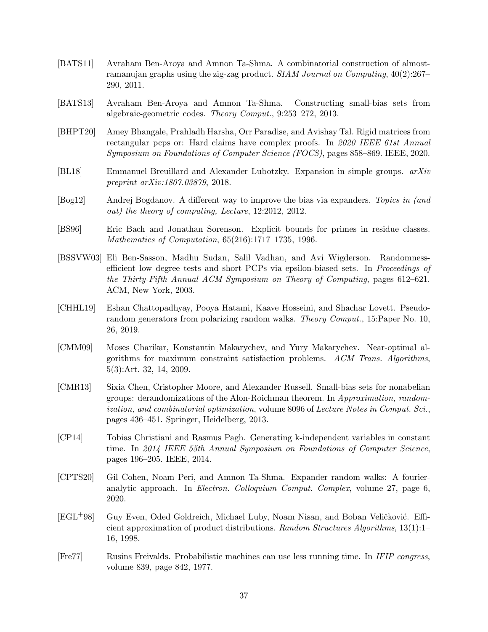- <span id="page-36-11"></span>[BATS11] Avraham Ben-Aroya and Amnon Ta-Shma. A combinatorial construction of almostramanujan graphs using the zig-zag product. SIAM Journal on Computing, 40(2):267– 290, 2011.
- <span id="page-36-2"></span>[BATS13] Avraham Ben-Aroya and Amnon Ta-Shma. Constructing small-bias sets from algebraic-geometric codes. Theory Comput., 9:253–272, 2013.
- <span id="page-36-6"></span>[BHPT20] Amey Bhangale, Prahladh Harsha, Orr Paradise, and Avishay Tal. Rigid matrices from rectangular pcps or: Hard claims have complex proofs. In 2020 IEEE 61st Annual Symposium on Foundations of Computer Science (FOCS), pages 858–869. IEEE, 2020.
- <span id="page-36-13"></span>[BL18] Emmanuel Breuillard and Alexander Lubotzky. Expansion in simple groups. arXiv preprint arXiv:1807.03879, 2018.
- <span id="page-36-10"></span>[Bog12] Andrej Bogdanov. A different way to improve the bias via expanders. Topics in (and out) the theory of computing, Lecture, 12:2012, 2012.
- <span id="page-36-9"></span>[BS96] Eric Bach and Jonathan Sorenson. Explicit bounds for primes in residue classes. Mathematics of Computation, 65(216):1717–1735, 1996.
- <span id="page-36-7"></span>[BSSVW03] Eli Ben-Sasson, Madhu Sudan, Salil Vadhan, and Avi Wigderson. Randomnessefficient low degree tests and short PCPs via epsilon-biased sets. In Proceedings of the Thirty-Fifth Annual ACM Symposium on Theory of Computing, pages 612–621. ACM, New York, 2003.
- <span id="page-36-5"></span>[CHHL19] Eshan Chattopadhyay, Pooya Hatami, Kaave Hosseini, and Shachar Lovett. Pseudorandom generators from polarizing random walks. Theory Comput., 15:Paper No. 10, 26, 2019.
- <span id="page-36-4"></span>[CMM09] Moses Charikar, Konstantin Makarychev, and Yury Makarychev. Near-optimal algorithms for maximum constraint satisfaction problems. ACM Trans. Algorithms, 5(3):Art. 32, 14, 2009.
- <span id="page-36-1"></span>[CMR13] Sixia Chen, Cristopher Moore, and Alexander Russell. Small-bias sets for nonabelian groups: derandomizations of the Alon-Roichman theorem. In Approximation, randomization, and combinatorial optimization, volume 8096 of Lecture Notes in Comput. Sci., pages 436–451. Springer, Heidelberg, 2013.
- <span id="page-36-3"></span>[CP14] Tobias Christiani and Rasmus Pagh. Generating k-independent variables in constant time. In 2014 IEEE 55th Annual Symposium on Foundations of Computer Science, pages 196–205. IEEE, 2014.
- <span id="page-36-12"></span>[CPTS20] Gil Cohen, Noam Peri, and Amnon Ta-Shma. Expander random walks: A fourieranalytic approach. In Electron. Colloquium Comput. Complex, volume 27, page 6, 2020.
- <span id="page-36-0"></span>[EGL<sup>+</sup>98] Guy Even, Oded Goldreich, Michael Luby, Noam Nisan, and Boban Veličković. Efficient approximation of product distributions. Random Structures Algorithms, 13(1):1– 16, 1998.
- <span id="page-36-8"></span>[Fre77] Rusins Freivalds. Probabilistic machines can use less running time. In IFIP congress, volume 839, page 842, 1977.